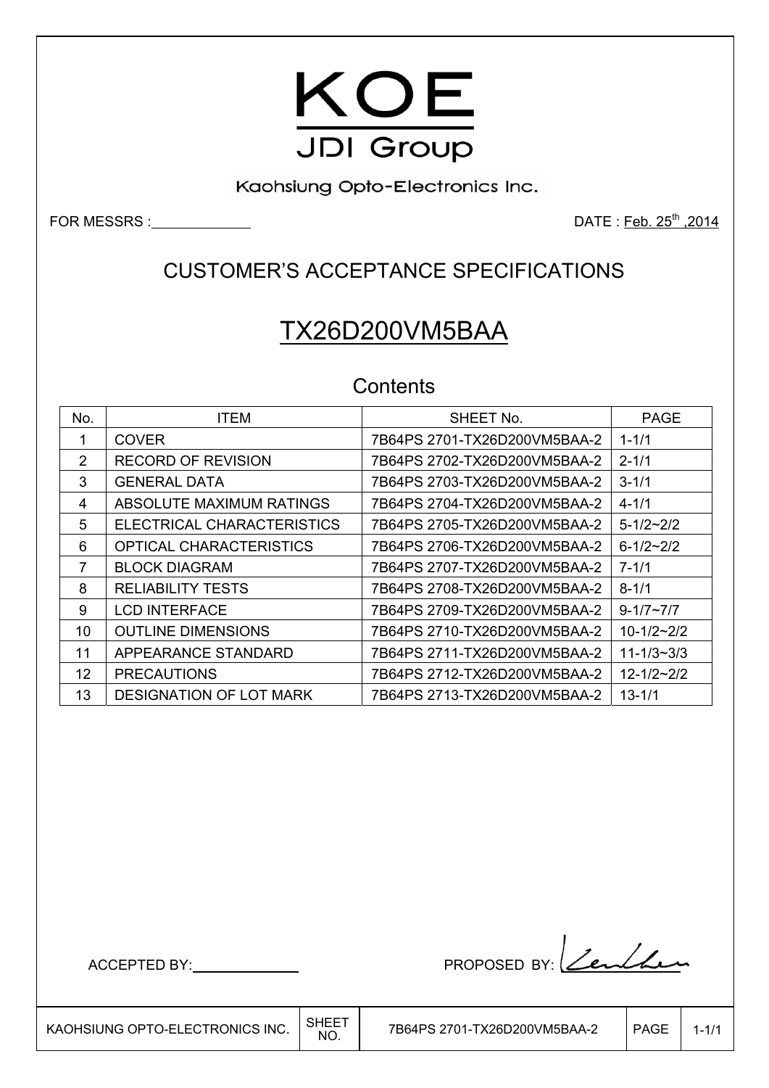

Kaohsiung Opto-Electronics Inc.

FOR MESSRS : DATE : Feb. 25<sup>th</sup> ,2014

## CUSTOMER'S ACCEPTANCE SPECIFICATIONS

# TX26D200VM5BAA

## **Contents**

| No. | <b>ITEM</b>                    | SHEET No.                    | <b>PAGE</b>        |
|-----|--------------------------------|------------------------------|--------------------|
|     | <b>COVER</b>                   | 7B64PS 2701-TX26D200VM5BAA-2 | $1 - 1/1$          |
| 2   | <b>RECORD OF REVISION</b>      | 7B64PS 2702-TX26D200VM5BAA-2 | $2 - 1/1$          |
| 3   | <b>GENERAL DATA</b>            | 7B64PS 2703-TX26D200VM5BAA-2 | $3 - 1/1$          |
| 4   | ABSOLUTE MAXIMUM RATINGS       | 7B64PS 2704-TX26D200VM5BAA-2 | $4 - 1/1$          |
| 5   | ELECTRICAL CHARACTERISTICS     | 7B64PS 2705-TX26D200VM5BAA-2 | $5 - 1/2 \sim 2/2$ |
| 6   | <b>OPTICAL CHARACTERISTICS</b> |                              | $6 - 1/2 - 2/2$    |
| 7   | <b>BLOCK DIAGRAM</b>           | 7B64PS 2707-TX26D200VM5BAA-2 | $7 - 1/1$          |
| 8   | <b>RELIABILITY TESTS</b>       | 7B64PS 2708-TX26D200VM5BAA-2 | $8 - 1/1$          |
| 9   | <b>LCD INTERFACE</b>           | 7B64PS 2709-TX26D200VM5BAA-2 | $9 - 1/7 \sim 7/7$ |
| 10  | <b>OUTLINE DIMENSIONS</b>      | 7B64PS 2710-TX26D200VM5BAA-2 | $10 - 1/2 - 2/2$   |
| 11  | APPEARANCE STANDARD            | 7B64PS 2711-TX26D200VM5BAA-2 | $11 - 1/3 - 3/3$   |
| 12  | <b>PRECAUTIONS</b>             | 7B64PS 2712-TX26D200VM5BAA-2 | $12 - 1/2 - 2/2$   |
| 13  | <b>DESIGNATION OF LOT MARK</b> | 7B64PS 2713-TX26D200VM5BAA-2 | $13 - 1/1$         |

ACCEPTED BY: PROPOSED BY: <u>Lendhe</u>n

 $\overline{\phantom{a}}$ 

KAOHSIUNG OPTO-ELECTRONICS INC.  $\Big|\substack{\text{SHEET} \ \text{NO.}}$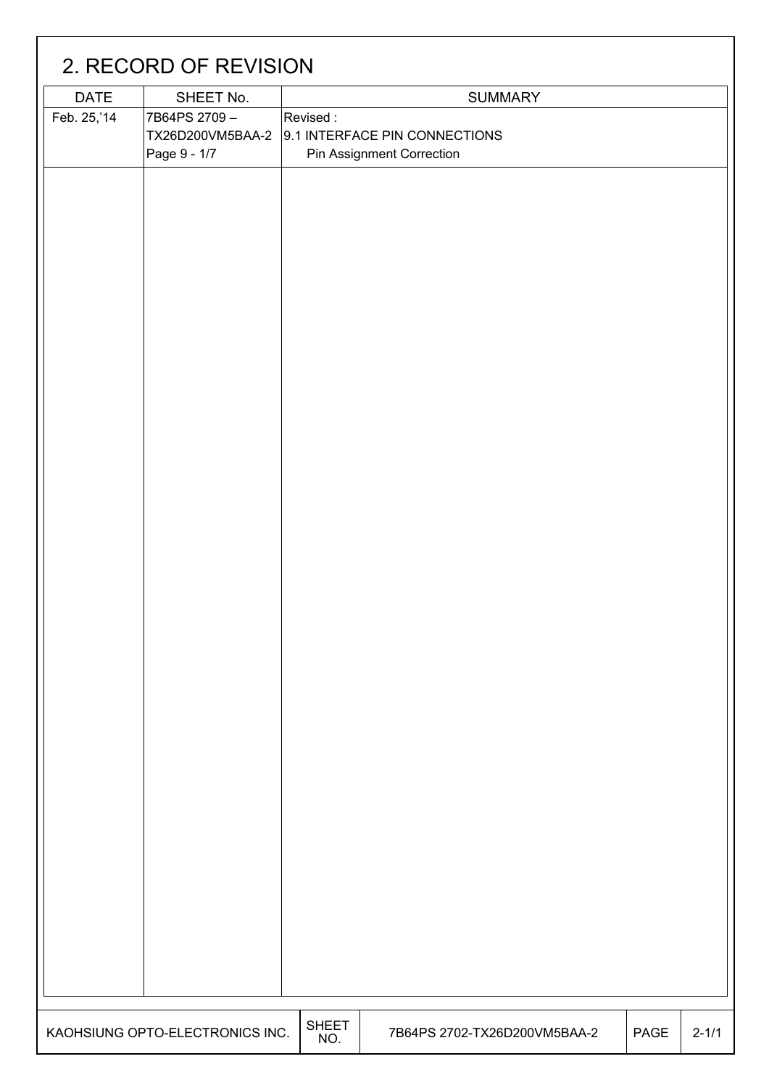|             | 2. RECORD OF REVISION            |                     |                               |      |           |
|-------------|----------------------------------|---------------------|-------------------------------|------|-----------|
| <b>DATE</b> | SHEET No.                        |                     | <b>SUMMARY</b>                |      |           |
| Feb. 25,'14 | 7B64PS 2709-<br>TX26D200VM5BAA-2 | Revised:            | 9.1 INTERFACE PIN CONNECTIONS |      |           |
|             | Page 9 - 1/7                     |                     | Pin Assignment Correction     |      |           |
|             |                                  |                     |                               |      |           |
|             |                                  |                     |                               |      |           |
|             |                                  |                     |                               |      |           |
|             |                                  |                     |                               |      |           |
|             |                                  |                     |                               |      |           |
|             |                                  |                     |                               |      |           |
|             |                                  |                     |                               |      |           |
|             |                                  |                     |                               |      |           |
|             |                                  |                     |                               |      |           |
|             |                                  |                     |                               |      |           |
|             |                                  |                     |                               |      |           |
|             |                                  |                     |                               |      |           |
|             |                                  |                     |                               |      |           |
|             |                                  |                     |                               |      |           |
|             |                                  |                     |                               |      |           |
|             |                                  |                     |                               |      |           |
|             |                                  |                     |                               |      |           |
|             |                                  |                     |                               |      |           |
|             |                                  |                     |                               |      |           |
|             |                                  |                     |                               |      |           |
|             |                                  |                     |                               |      |           |
|             |                                  |                     |                               |      |           |
|             |                                  |                     |                               |      |           |
|             |                                  |                     |                               |      |           |
|             |                                  |                     |                               |      |           |
|             |                                  |                     |                               |      |           |
|             |                                  |                     |                               |      |           |
|             |                                  |                     |                               |      |           |
|             |                                  |                     |                               |      |           |
|             |                                  |                     |                               |      |           |
|             |                                  |                     |                               |      |           |
|             |                                  |                     |                               |      |           |
|             |                                  |                     |                               |      |           |
|             | KAOHSIUNG OPTO-ELECTRONICS INC.  | <b>SHEET</b><br>NO. | 7B64PS 2702-TX26D200VM5BAA-2  | PAGE | $2 - 1/1$ |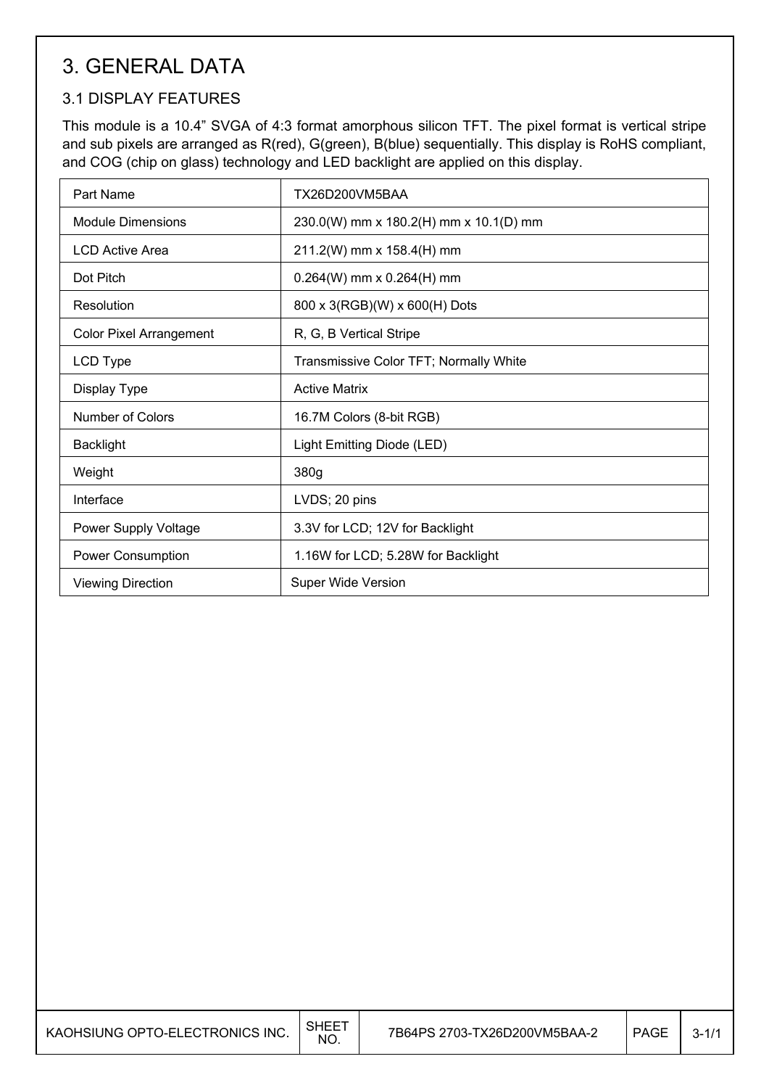## 3. GENERAL DATA

## 3.1 DISPLAY FEATURES

This module is a 10.4" SVGA of 4:3 format amorphous silicon TFT. The pixel format is vertical stripe and sub pixels are arranged as R(red), G(green), B(blue) sequentially. This display is RoHS compliant, and COG (chip on glass) technology and LED backlight are applied on this display.

| Part Name                      | TX26D200VM5BAA                         |
|--------------------------------|----------------------------------------|
| <b>Module Dimensions</b>       | 230.0(W) mm x 180.2(H) mm x 10.1(D) mm |
| <b>LCD Active Area</b>         | 211.2(W) mm x 158.4(H) mm              |
| Dot Pitch                      | $0.264(W)$ mm x $0.264(H)$ mm          |
| Resolution                     | 800 x 3(RGB)(W) x 600(H) Dots          |
| <b>Color Pixel Arrangement</b> | R, G, B Vertical Stripe                |
| LCD Type                       | Transmissive Color TFT; Normally White |
| Display Type                   | <b>Active Matrix</b>                   |
| Number of Colors               | 16.7M Colors (8-bit RGB)               |
| <b>Backlight</b>               | Light Emitting Diode (LED)             |
| Weight                         | 380g                                   |
| Interface                      | LVDS; 20 pins                          |
| Power Supply Voltage           | 3.3V for LCD; 12V for Backlight        |
| Power Consumption              | 1.16W for LCD; 5.28W for Backlight     |
| <b>Viewing Direction</b>       | <b>Super Wide Version</b>              |

 $\overline{\phantom{a}}$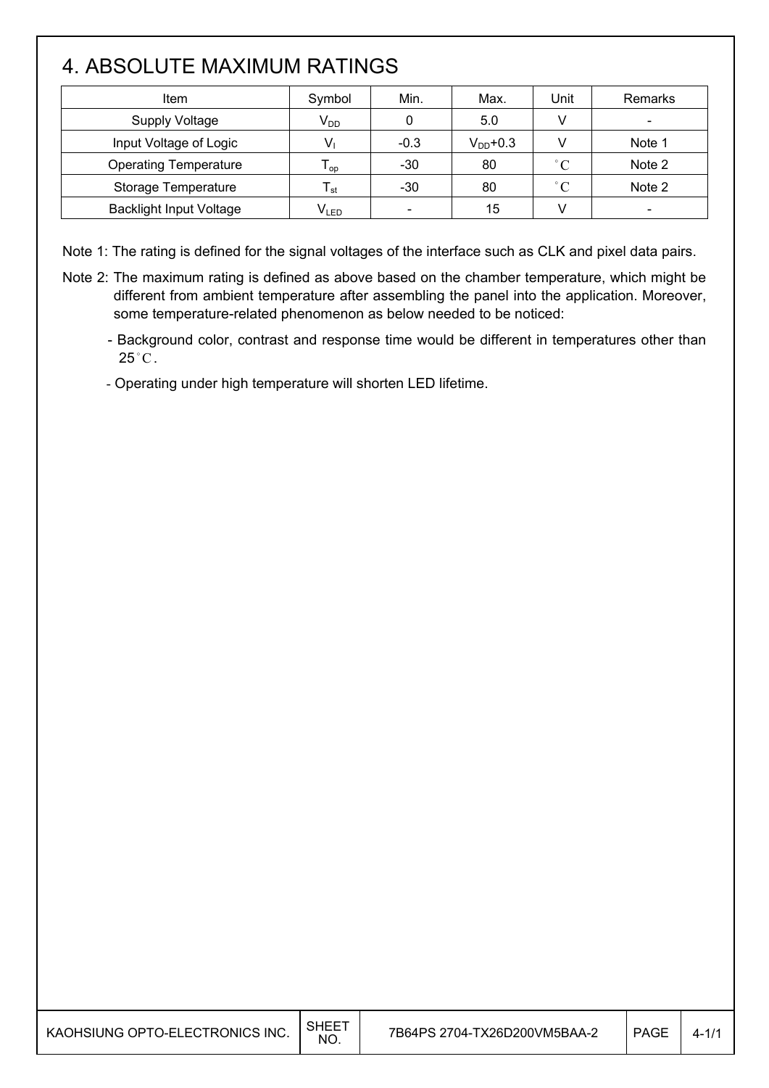# 4. ABSOLUTE MAXIMUM RATINGS

I

I

| Item                           | Symbol                      | Min.   | Max.          | Unit         | Remarks |
|--------------------------------|-----------------------------|--------|---------------|--------------|---------|
| <b>Supply Voltage</b>          | $V_{DD}$                    |        | 5.0           |              |         |
| Input Voltage of Logic         |                             | $-0.3$ | $V_{DD}$ +0.3 |              | Note 1  |
| <b>Operating Temperature</b>   | l op                        | $-30$  | 80            | $^{\circ}$ C | Note 2  |
| Storage Temperature            | l st                        | $-30$  | 80            | $^{\circ}$ C | Note 2  |
| <b>Backlight Input Voltage</b> | $\mathsf{V}_{\mathsf{LED}}$ | $\,$   | 15            |              |         |

Note 1: The rating is defined for the signal voltages of the interface such as CLK and pixel data pairs.

- Note 2: The maximum rating is defined as above based on the chamber temperature, which might be different from ambient temperature after assembling the panel into the application. Moreover, some temperature-related phenomenon as below needed to be noticed:
	- Background color, contrast and response time would be different in temperatures other than  $25^{\circ}$ C.

- Operating under high temperature will shorten LED lifetime.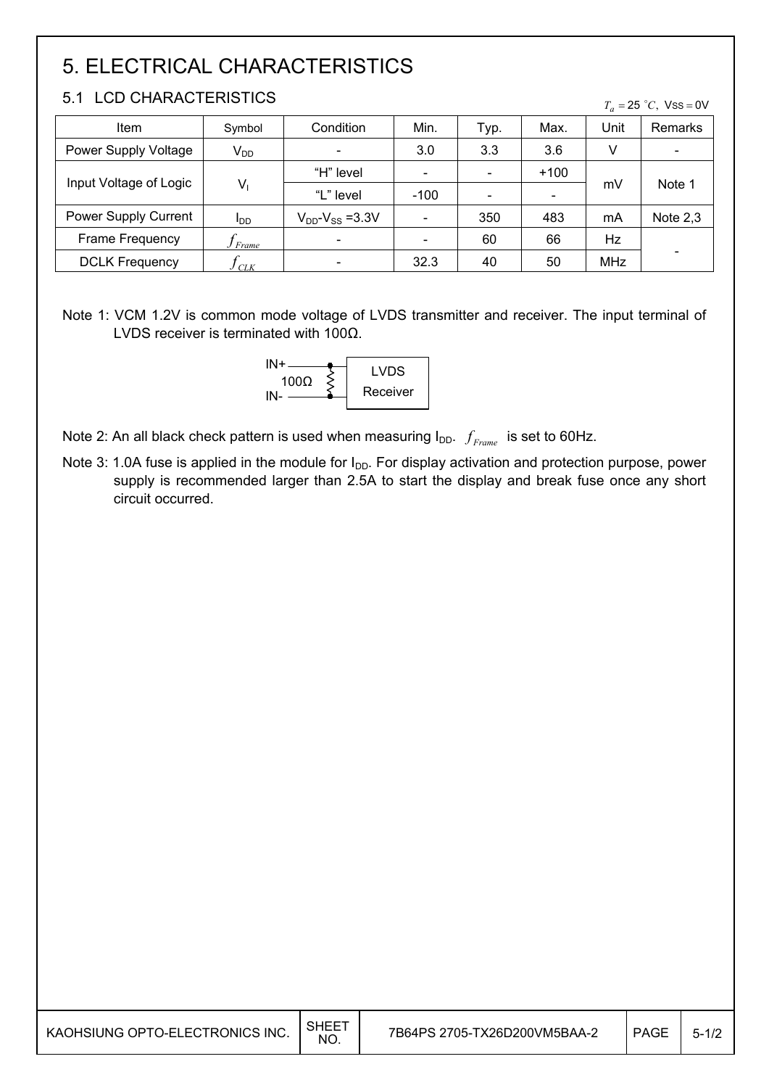# 5. ELECTRICAL CHARACTERISTICS

### 5.1 LCD CHARACTERISTICS

| Item                   | Symbol                 | Condition                 | Min.   | Typ. | Max.                         | Unit       | Remarks                      |
|------------------------|------------------------|---------------------------|--------|------|------------------------------|------------|------------------------------|
| Power Supply Voltage   | $V_{DD}$               |                           | 3.0    | 3.3  | 3.6                          | V          | $\qquad \qquad \blacksquare$ |
|                        | $V_1$                  | "H" level                 |        |      | $+100$                       |            | Note 1                       |
| Input Voltage of Logic |                        | "L" level                 | $-100$ |      | $\qquad \qquad \blacksquare$ | mV         |                              |
| Power Supply Current   | <b>I</b> <sub>DD</sub> | $V_{DD}$ - $V_{SS}$ =3.3V |        | 350  | 483                          | mA         | Note $2,3$                   |
| Frame Frequency        | Frame                  |                           |        | 60   | 66                           | Hz         |                              |
| <b>DCLK Frequency</b>  | <b>CLK</b>             |                           | 32.3   | 40   | 50                           | <b>MHz</b> |                              |

Note 1: VCM 1.2V is common mode voltage of LVDS transmitter and receiver. The input terminal of LVDS receiver is terminated with 100 $\Omega$ .



Note 2: An all black check pattern is used when measuring  $I_{DD}$ .  $f_{Frame}$  is set to 60Hz.

Note 3: 1.0A fuse is applied in the module for I<sub>DD</sub>. For display activation and protection purpose, power supply is recommended larger than 2.5A to start the display and break fuse once any short circuit occurred.

 $T_a = 25$  °C, Vss = 0V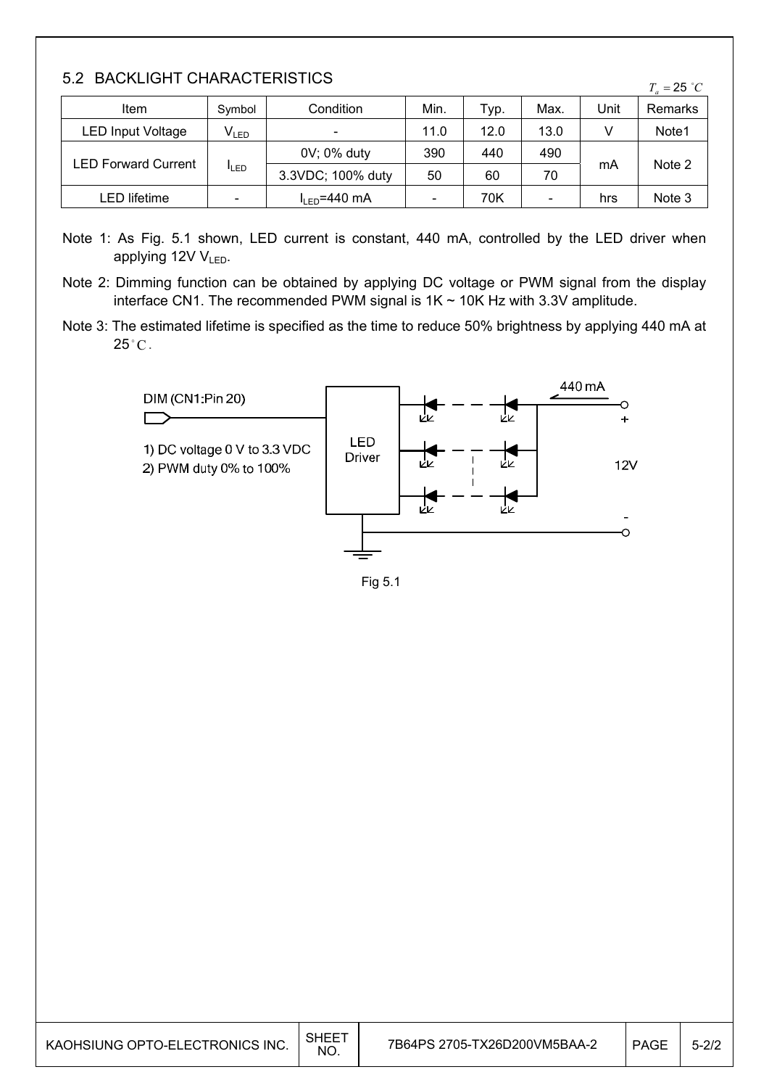### 5.2 BACKLIGHT CHARACTERISTICS

| $\sim$ . $\sim$<br>$T_a = 25 °C$ |                             |                            |      |      |      |      |         |  |
|----------------------------------|-----------------------------|----------------------------|------|------|------|------|---------|--|
| Item                             | Symbol                      | Condition                  | Min. | тур. | Max. | Unit | Remarks |  |
| LED Input Voltage                | $\mathsf{V}_{\mathsf{LED}}$ | $\overline{\phantom{a}}$   | 11.0 | 12.0 | 13.0 |      | Note1   |  |
|                                  | <b>I</b> LED                | 0V; 0% duty                | 390  | 440  | 490  |      |         |  |
| <b>LED Forward Current</b>       |                             | 3.3VDC; 100% duty          | 50   | 60   | 70   | mA   | Note 2  |  |
| LED lifetime                     |                             | $I_{IFD} = 440 \text{ mA}$ |      | 70K  | $\,$ | hrs  | Note 3  |  |

Note 1: As Fig. 5.1 shown, LED current is constant, 440 mA, controlled by the LED driver when applying 12V VLED.

Note 2: Dimming function can be obtained by applying DC voltage or PWM signal from the display interface CN1. The recommended PWM signal is  $1K \sim 10K$  Hz with 3.3V amplitude.

Note 3: The estimated lifetime is specified as the time to reduce 50% brightness by applying 440 mA at  $25^{\circ}$ C.



Fig 5.1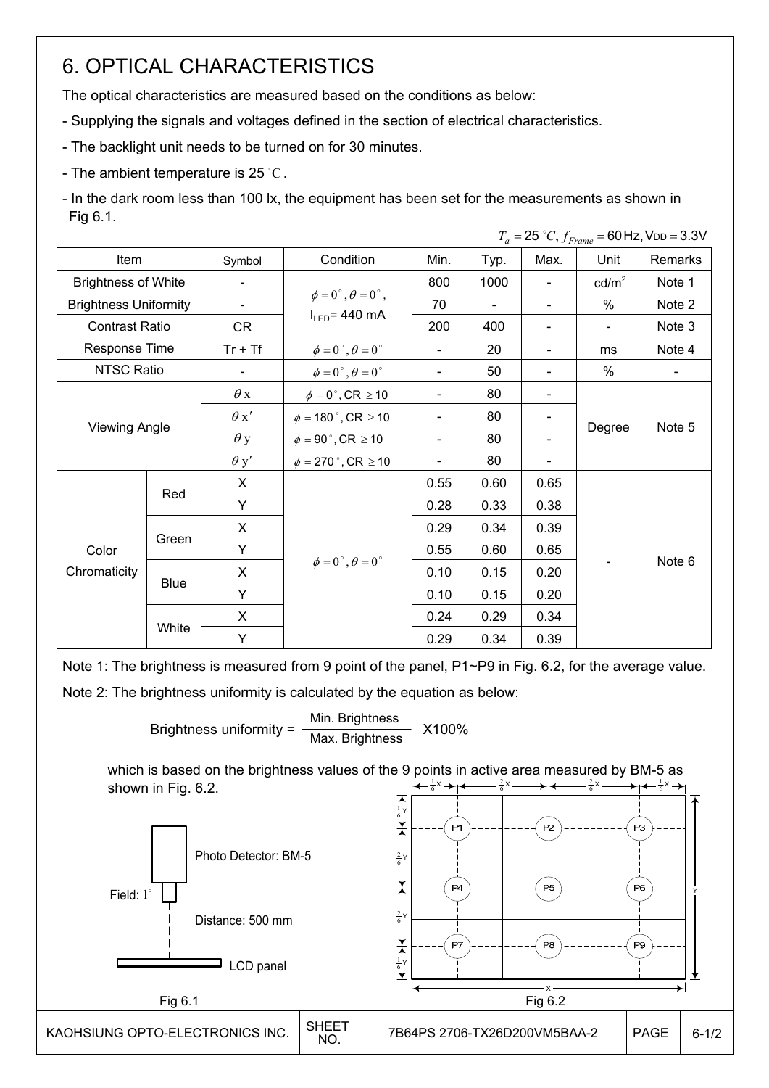## 6. OPTICAL CHARACTERISTICS

The optical characteristics are measured based on the conditions as below:

- Supplying the signals and voltages defined in the section of electrical characteristics.

- The backlight unit needs to be turned on for 30 minutes.
- The ambient temperature is 25 °C.
- In the dark room less than 100 lx, the equipment has been set for the measurements as shown in Fig 6.1.

 $T = 25 \degree C$ ,  $f_E = 60$  Hz, V<sub>DD</sub> = 3.3V

| Item                         |       | Symbol      | Condition                               | Min.                     | Typ.                     | Max.                         | Unit            | Remarks        |
|------------------------------|-------|-------------|-----------------------------------------|--------------------------|--------------------------|------------------------------|-----------------|----------------|
| <b>Brightness of White</b>   |       |             |                                         | 800                      | 1000                     | $\qquad \qquad \blacksquare$ | $\text{cd/m}^2$ | Note 1         |
| <b>Brightness Uniformity</b> |       | Ξ.          | $\phi = 0^{\circ}, \theta = 0^{\circ},$ | 70                       | $\overline{\phantom{0}}$ | $\overline{\phantom{a}}$     | $\%$            | Note 2         |
| <b>Contrast Ratio</b>        |       | CR          | $I_{LED}$ = 440 mA                      | 200                      | 400                      | $\qquad \qquad \blacksquare$ |                 | Note 3         |
| Response Time                |       | $Tr + Tf$   | $\phi = 0^\circ$ , $\theta = 0^\circ$   |                          | 20                       | $\overline{\phantom{a}}$     | ms              | Note 4         |
| NTSC Ratio                   |       |             | $\phi = 0^\circ$ , $\theta = 0^\circ$   | $\blacksquare$           | 50                       | $\qquad \qquad \blacksquare$ | $\%$            | $\blacksquare$ |
|                              |       | $\theta$ x  | $\phi = 0^\circ$ , CR $\geq 10$         |                          | 80                       |                              |                 |                |
|                              |       | $\theta x'$ | $\phi = 180$ °, CR $\geq 10$            |                          | 80                       |                              |                 | Note 5         |
| <b>Viewing Angle</b>         |       | $\theta$ y  | $\phi = 90$ °, CR $\geq 10$             | $\overline{\phantom{a}}$ | 80                       |                              | Degree          |                |
|                              |       | $\theta$ y' | $\phi = 270$ °, CR $\geq 10$            | $\overline{\phantom{a}}$ | 80                       |                              |                 |                |
|                              |       | X           |                                         | 0.55                     | 0.60                     | 0.65                         |                 |                |
|                              | Red   | Y           |                                         | 0.28                     | 0.33                     | 0.38                         |                 |                |
|                              |       | X           |                                         | 0.29                     | 0.34                     | 0.39                         |                 |                |
| Color                        | Green | Y           |                                         | 0.55                     | 0.60                     | 0.65                         |                 |                |
| Chromaticity                 |       | X           | $\phi = 0^{\circ}, \theta = 0^{\circ}$  | 0.10                     | 0.15                     | 0.20                         |                 | Note 6         |
|                              | Blue  | Y           |                                         | 0.10                     | 0.15                     | 0.20                         |                 |                |
|                              |       | X           |                                         | 0.24                     | 0.29                     | 0.34                         |                 |                |
|                              | White | Y           |                                         | 0.29                     | 0.34                     | 0.39                         |                 |                |

Note 1: The brightness is measured from 9 point of the panel, P1~P9 in Fig. 6.2, for the average value.

Note 2: The brightness uniformity is calculated by the equation as below:

Brightness uniformity =  $\frac{\text{Min.~Brightness}}{\text{Min.~Brightness}}$  X100% Max. Brightness

which is based on the brightness values of the 9 points in active area measured by BM-5 as shown in Fig. 6.2.  $\frac{2}{6}$ X 2  $\frac{1}{6}$ X 1  $\frac{2}{6}$ X  $rac{2}{6}$ x  $\longrightarrow$   $\leftarrow$   $rac{1}{6}$ x 1

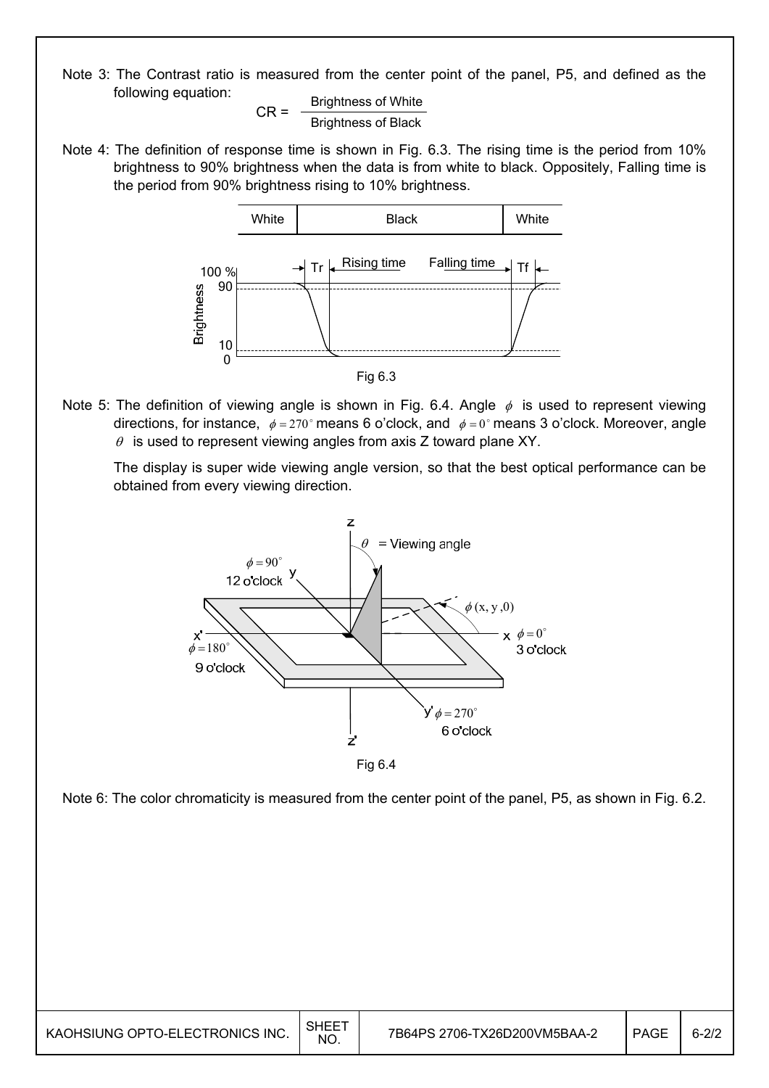Note 3: The Contrast ratio is measured from the center point of the panel, P5, and defined as the following equation:

$$
CR = \frac{Brightness \text{ of White}}{Brightness \text{ of Black}}
$$

Note 4: The definition of response time is shown in Fig. 6.3. The rising time is the period from 10% brightness to 90% brightness when the data is from white to black. Oppositely, Falling time is the period from 90% brightness rising to 10% brightness.



Fig 6.3

Note 5: The definition of viewing angle is shown in Fig. 6.4. Angle  $\phi$  is used to represent viewing directions, for instance,  $\phi = 270^\circ$  means 6 o'clock, and  $\phi = 0^\circ$  means 3 o'clock. Moreover, angle  $\theta$  is used to represent viewing angles from axis Z toward plane XY.

 The display is super wide viewing angle version, so that the best optical performance can be obtained from every viewing direction.



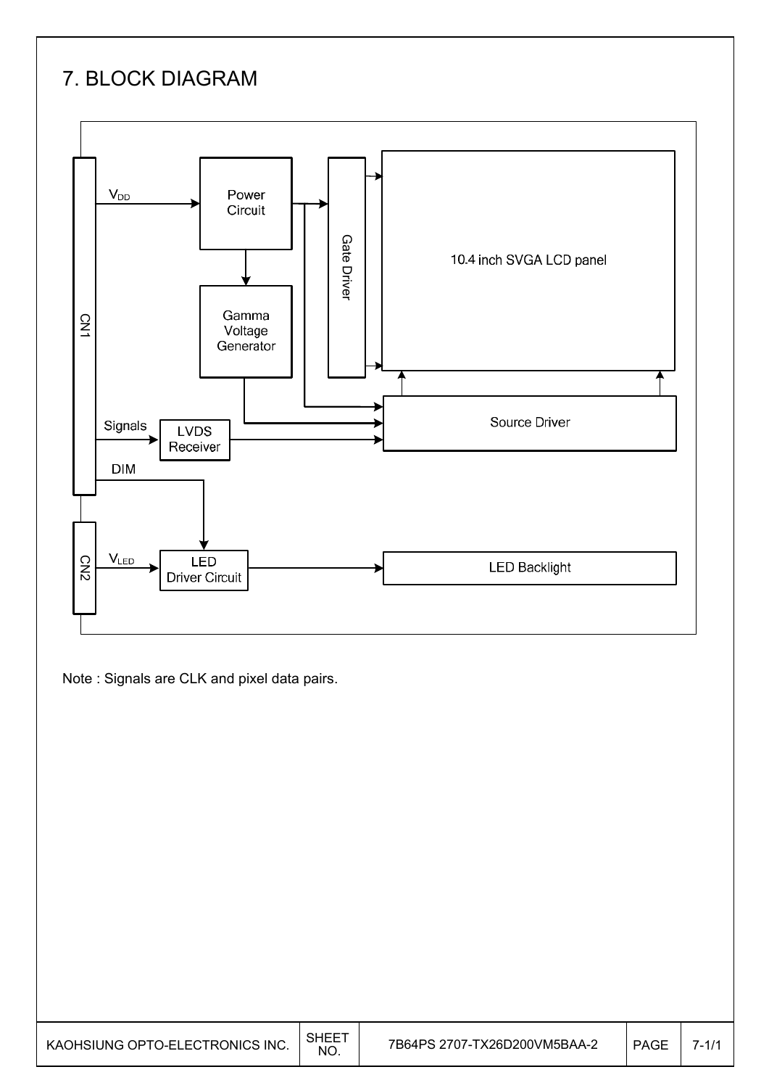# 7. BLOCK DIAGRAM



Note : Signals are CLK and pixel data pairs.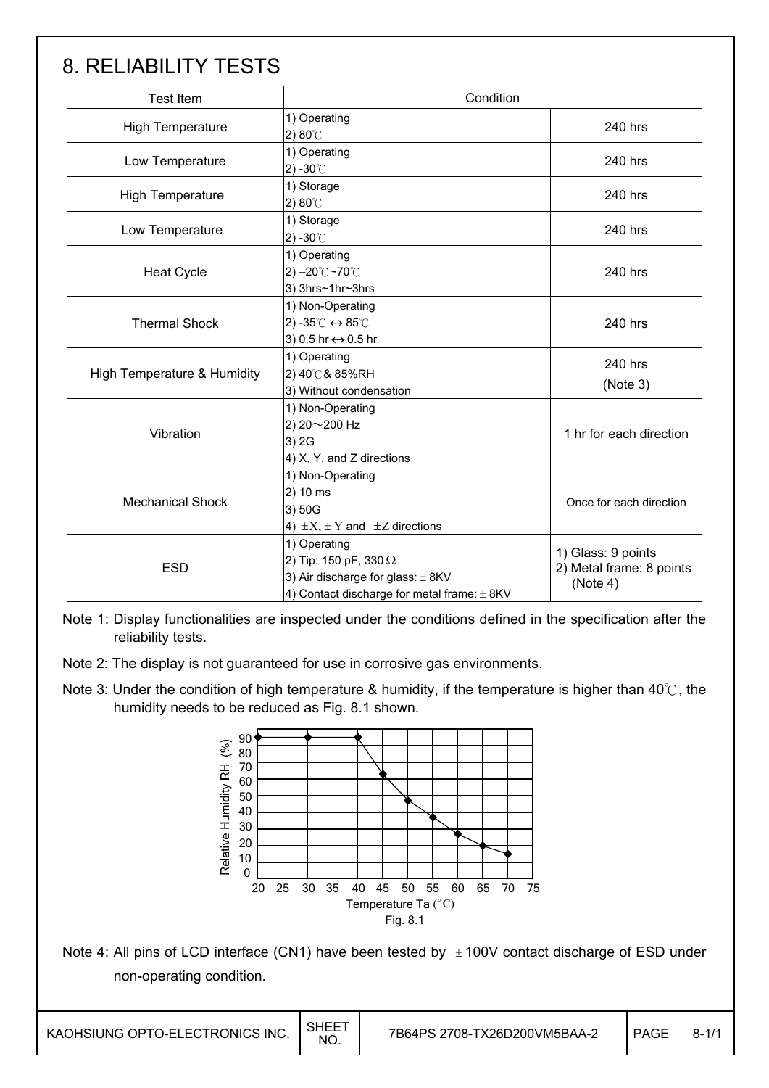## 8. RELIABILITY TESTS

| <b>Test Item</b>            | Condition                                                                                                                                |                                                            |  |  |
|-----------------------------|------------------------------------------------------------------------------------------------------------------------------------------|------------------------------------------------------------|--|--|
| <b>High Temperature</b>     | 1) Operating<br>2) $80^{\circ}$ C                                                                                                        | 240 hrs                                                    |  |  |
| Low Temperature             | 1) Operating<br>2) -30 $^{\circ}$ C                                                                                                      | 240 hrs                                                    |  |  |
| <b>High Temperature</b>     | 1) Storage<br>2) $80^{\circ}$ C                                                                                                          | 240 hrs                                                    |  |  |
| Low Temperature             | 1) Storage<br>$2) -30^{\circ}$                                                                                                           | 240 hrs                                                    |  |  |
| <b>Heat Cycle</b>           | 1) Operating<br>$2) - 20^{\circ}$ C ~70 $^{\circ}$ C<br>3) 3hrs~1hr~3hrs                                                                 | 240 hrs                                                    |  |  |
| <b>Thermal Shock</b>        | 1) Non-Operating<br>2) -35 $\degree$ C $\leftrightarrow$ 85 $\degree$ C<br>3) 0.5 hr ↔ 0.5 hr                                            | 240 hrs                                                    |  |  |
| High Temperature & Humidity | 1) Operating<br>2) 40℃ & 85%RH<br>3) Without condensation                                                                                | 240 hrs<br>(Note 3)                                        |  |  |
| Vibration                   | 1) Non-Operating<br>2) 20~200 Hz<br>3) 2G<br>4) X, Y, and Z directions                                                                   | 1 hr for each direction                                    |  |  |
| <b>Mechanical Shock</b>     | 1) Non-Operating<br>2) 10 ms<br>3) 50G<br>4) $\pm X$ , $\pm Y$ and $\pm Z$ directions                                                    | Once for each direction                                    |  |  |
| <b>ESD</b>                  | 1) Operating<br>2) Tip: 150 pF, 330 $\Omega$<br>3) Air discharge for glass: $\pm$ 8KV<br>4) Contact discharge for metal frame: $\pm$ 8KV | 1) Glass: 9 points<br>2) Metal frame: 8 points<br>(Note 4) |  |  |

Note 1: Display functionalities are inspected under the conditions defined in the specification after the reliability tests.

- Note 2: The display is not guaranteed for use in corrosive gas environments.
- Note 3: Under the condition of high temperature & humidity, if the temperature is higher than 40°C, the humidity needs to be reduced as Fig. 8.1 shown.



Note 4: All pins of LCD interface (CN1) have been tested by  $\pm 100V$  contact discharge of ESD under non-operating condition.

 $\overline{a}$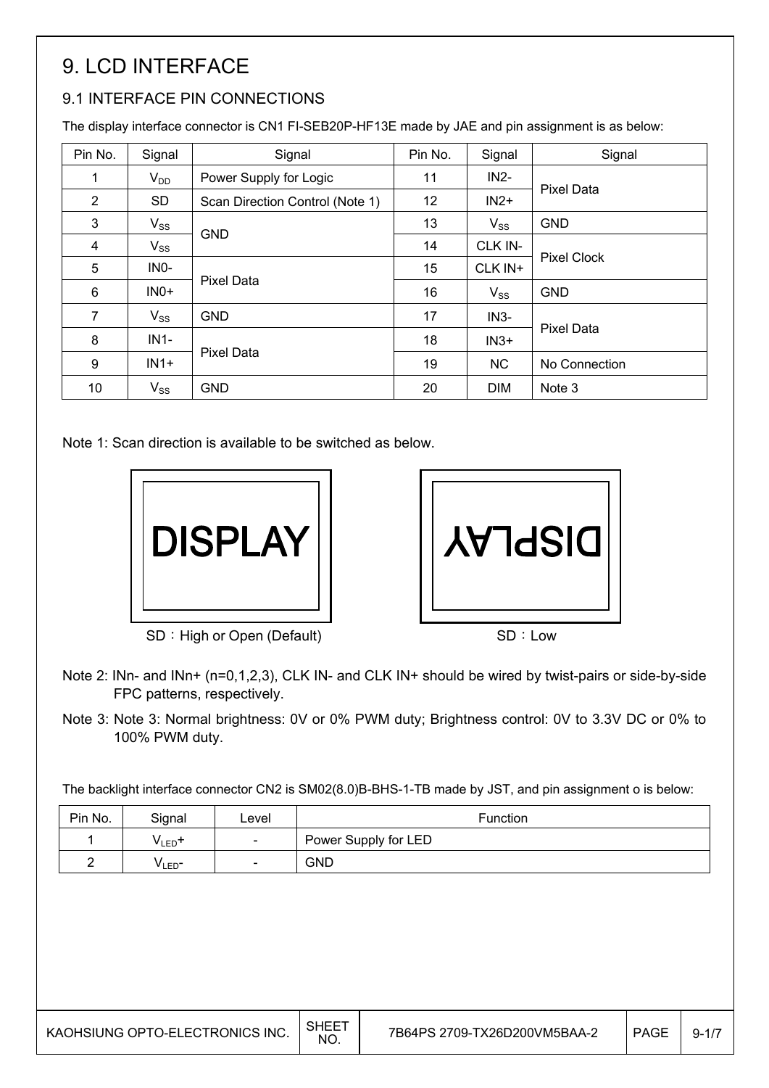# 9. LCD INTERFACE

## 9.1 INTERFACE PIN CONNECTIONS

The display interface connector is CN1 FI-SEB20P-HF13E made by JAE and pin assignment is as below:

| Pin No.        | Signal    | Signal                          | Pin No. | Signal     | Signal             |
|----------------|-----------|---------------------------------|---------|------------|--------------------|
|                | $V_{DD}$  | Power Supply for Logic          | 11      | $IN2-$     | Pixel Data         |
| $\overline{2}$ | <b>SD</b> | Scan Direction Control (Note 1) | 12      | $IN2+$     |                    |
| 3              | $V_{SS}$  |                                 | 13      | $V_{SS}$   | <b>GND</b>         |
| 4              | $V_{SS}$  | <b>GND</b>                      | 14      | CLK IN-    |                    |
| 5              | INO-      |                                 | 15      | CLK IN+    | <b>Pixel Clock</b> |
| 6              | $INO+$    | <b>Pixel Data</b>               | 16      | $V_{SS}$   | <b>GND</b>         |
| $\overline{7}$ | $V_{SS}$  | <b>GND</b>                      | 17      | $IN3-$     |                    |
| 8              | $IN1-$    |                                 | 18      | $IN3+$     | <b>Pixel Data</b>  |
| 9              | $IN1+$    | Pixel Data                      | 19      | <b>NC</b>  | No Connection      |
| 10             | $V_{SS}$  | <b>GND</b>                      | 20      | <b>DIM</b> | Note 3             |

Note 1: Scan direction is available to be switched as below.



**USPLAY** 

SD : High or Open (Default) SD : Low

- Note 2: INn- and INn+ (n=0,1,2,3), CLK IN- and CLK IN+ should be wired by twist-pairs or side-by-side FPC patterns, respectively.
- Note 3: Note 3: Normal brightness: 0V or 0% PWM duty; Brightness control: 0V to 3.3V DC or 0% to 100% PWM duty.

The backlight interface connector CN2 is SM02(8.0)B-BHS-1-TB made by JST, and pin assignment o is below:

| Pin No. | Signal             | Level                    | Function             |
|---------|--------------------|--------------------------|----------------------|
|         | V <sub>LED</sub> + | $\overline{\phantom{0}}$ | Power Supply for LED |
|         | V <sub>LED</sub> - | $\sim$                   | <b>GND</b>           |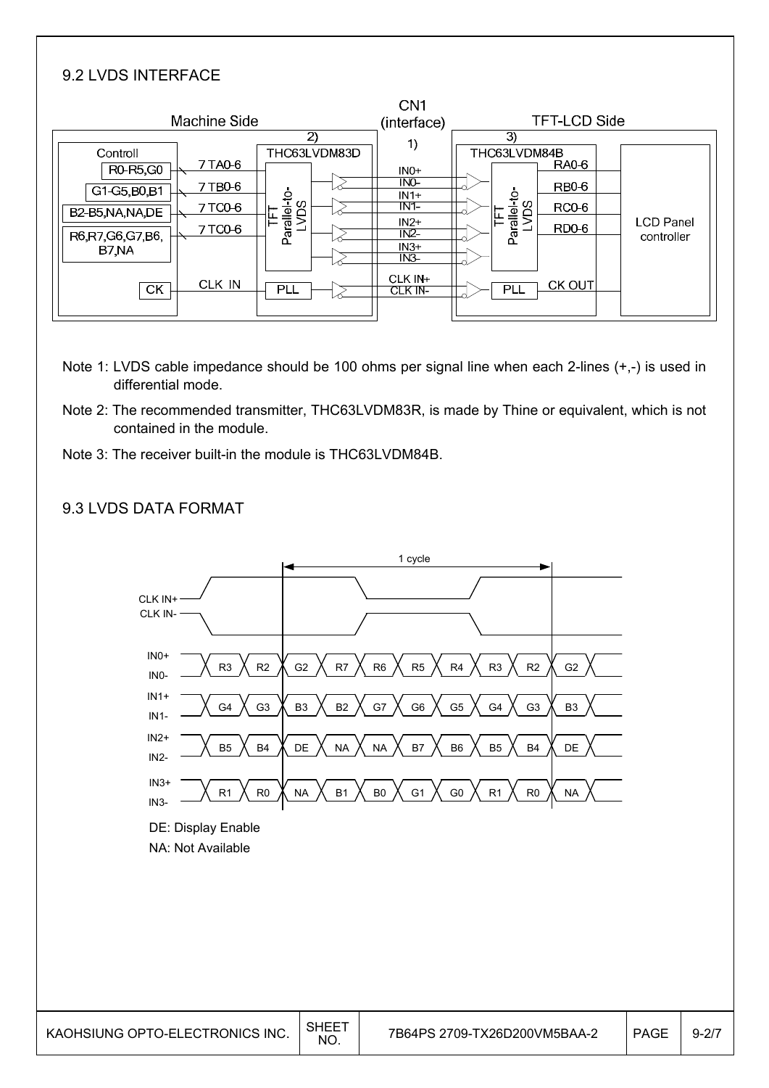### 9.2 LVDS INTERFACE

|         |                    |                                      | CN <sub>1</sub>              |                                                                 |                            |                                       |                     |
|---------|--------------------|--------------------------------------|------------------------------|-----------------------------------------------------------------|----------------------------|---------------------------------------|---------------------|
|         |                    |                                      |                              |                                                                 |                            |                                       |                     |
|         |                    |                                      |                              |                                                                 |                            |                                       |                     |
|         |                    |                                      |                              |                                                                 |                            |                                       |                     |
|         |                    |                                      | $INO+$                       |                                                                 |                            |                                       |                     |
| 7 TB0-6 |                    |                                      |                              |                                                                 | <b>RB0-6</b>               |                                       |                     |
| 7 TC0-6 |                    |                                      | IN1                          |                                                                 | <b>RC0-6</b>               |                                       |                     |
|         |                    |                                      | $IN2+$                       |                                                                 |                            |                                       | <b>LCD Panel</b>    |
|         |                    |                                      |                              |                                                                 |                            |                                       | controller          |
|         |                    |                                      | $N3-$                        |                                                                 |                            |                                       |                     |
| CLK IN  | PLL                |                                      | CLK IN+<br>CLK IN-           | PLL                                                             | CK OUT                     |                                       |                     |
|         | 7 TA0-6<br>7 TC0-6 | Machine Side<br>Parallel-to-<br>LVDS | $\mathbf{2}$<br>THC63LVDM83D | (interface)<br>1)<br>IN <sub>0</sub><br>$IN1+$<br>IN2<br>$IN3+$ | 3)<br>Parallel-to-<br>LVDS | THC63LVDM84B<br><b>RA0-6</b><br>RD0-6 | <b>TFT-LCD Side</b> |

- Note 1: LVDS cable impedance should be 100 ohms per signal line when each 2-lines (+,-) is used in differential mode.
- Note 2: The recommended transmitter, THC63LVDM83R, is made by Thine or equivalent, which is not contained in the module.
- Note 3: The receiver built-in the module is THC63LVDM84B.



#### 9.3 LVDS DATA FORMAT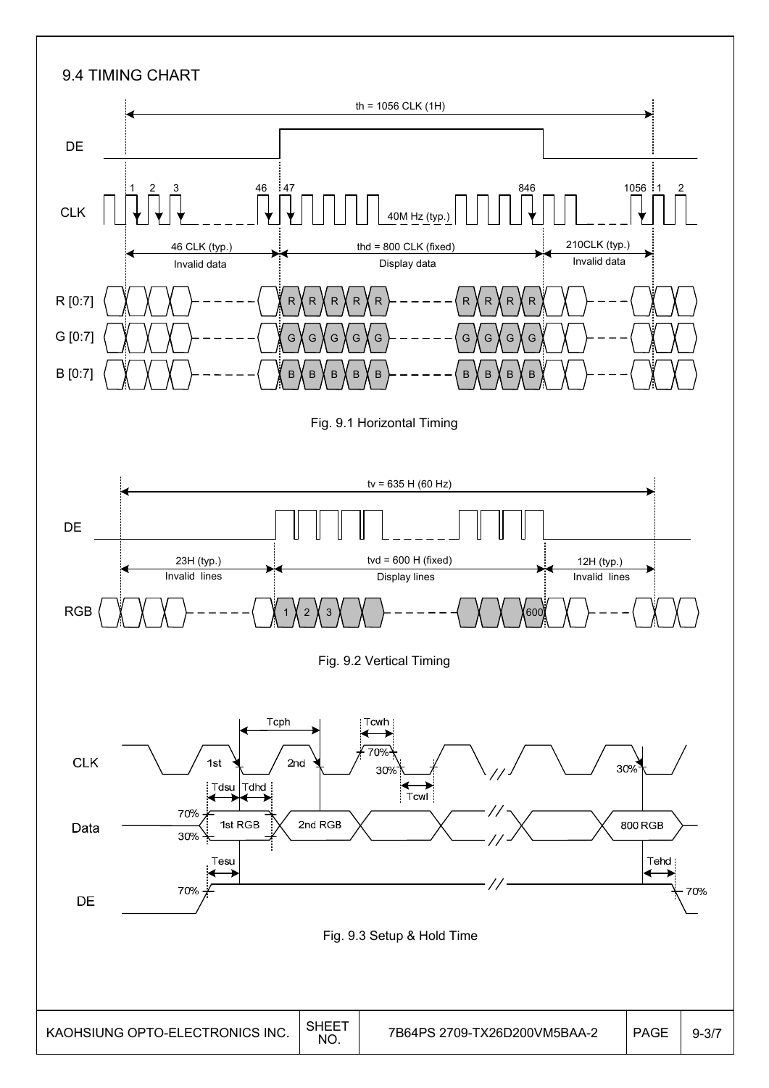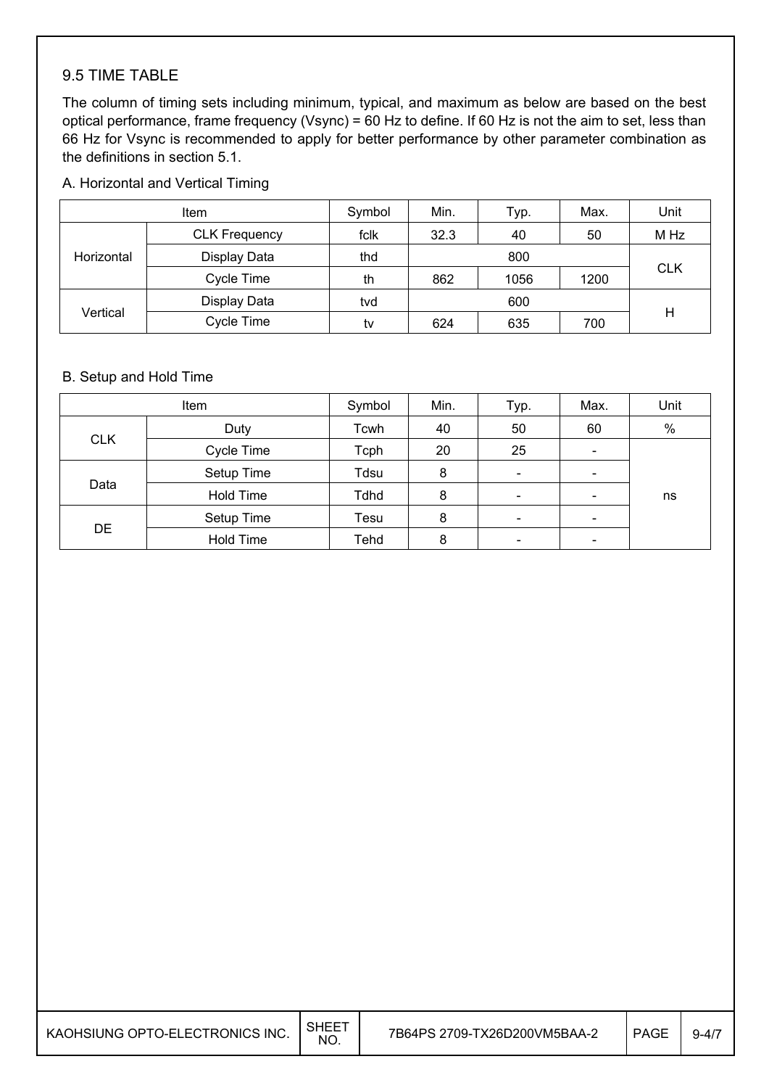#### 9.5 TIME TABLE

The column of timing sets including minimum, typical, and maximum as below are based on the best optical performance, frame frequency (Vsync) = 60 Hz to define. If 60 Hz is not the aim to set, less than 66 Hz for Vsync is recommended to apply for better performance by other parameter combination as the definitions in section 5.1.

#### A. Horizontal and Vertical Timing

|            | <b>Item</b>          | Symbol | Min. | Typ. | Max. | Unit       |
|------------|----------------------|--------|------|------|------|------------|
| Horizontal | <b>CLK Frequency</b> | fclk   | 32.3 | 40   | 50   | M Hz       |
|            | Display Data         | thd    | 800  |      |      |            |
|            | Cycle Time           | th     | 862  | 1056 | 1200 | <b>CLK</b> |
| Vertical   | Display Data         | tvd    |      | 600  |      |            |
|            | Cycle Time           | tv     | 624  | 635  | 700  | н          |

#### B. Setup and Hold Time

|            | Item       | Symbol | Min. | Typ.                     | Max.                         | Unit |
|------------|------------|--------|------|--------------------------|------------------------------|------|
|            | Duty       | Tcwh   | 40   | 50                       | 60                           | $\%$ |
| <b>CLK</b> | Cycle Time | Tcph   | 20   | 25                       | $\overline{\phantom{a}}$     |      |
| Data       | Setup Time | Tdsu   | 8    |                          | $\overline{\phantom{0}}$     |      |
|            | Hold Time  | Tdhd   | 8    |                          |                              | ns   |
|            | Setup Time | Tesu   | 8    | $\overline{\phantom{a}}$ | $\qquad \qquad \blacksquare$ |      |
| <b>DE</b>  | Hold Time  | Tehd   | 8    |                          | $\qquad \qquad \blacksquare$ |      |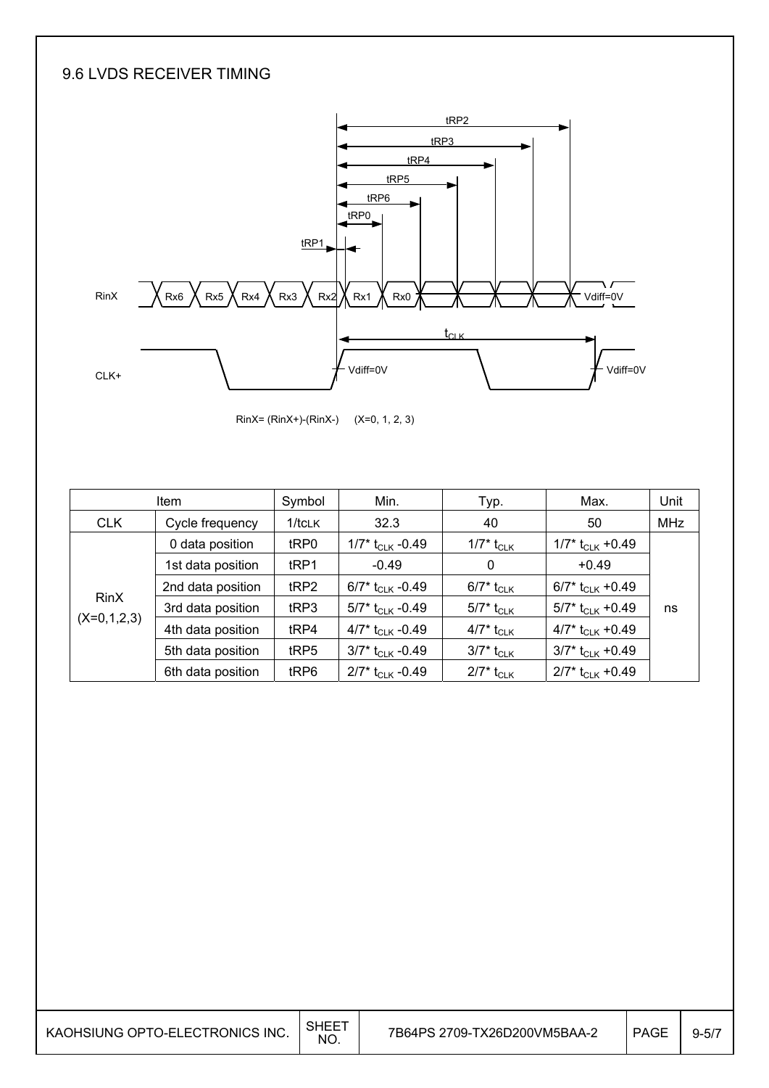#### 9.6 LVDS RECEIVER TIMING



RinX= (RinX+)-(RinX-) (X=0, 1, 2, 3)

| <b>Item</b>   |                   | Symbol           | Min.                                            | Typ.                     | Max.                           | Unit       |
|---------------|-------------------|------------------|-------------------------------------------------|--------------------------|--------------------------------|------------|
| <b>CLK</b>    | Cycle frequency   | $1$ /tcl $K$     | 32.3                                            | 40                       | 50                             | <b>MHz</b> |
|               | 0 data position   | tRP0             | 1/7* $t_{CLK}$ -0.49                            | $1/7^*$ t <sub>CLK</sub> | $1/7$ * t <sub>CLK</sub> +0.49 |            |
| <b>RinX</b>   | 1st data position | tRP1             | $-0.49$                                         | 0                        | $+0.49$                        |            |
|               | 2nd data position | tRP2             | 6/7* $t_{\scriptscriptstyle{\text{CLK}}}$ -0.49 | 6/7* t <sub>CLK</sub>    | 6/7* $t_{CLK}$ +0.49           |            |
|               | 3rd data position | t <sub>RP3</sub> | 5/7* $t_{\rm CLK}$ -0.49                        | 5/7* t <sub>CLK</sub>    | 5/7* t <sub>CLK</sub> +0.49    | ns         |
| $(X=0,1,2,3)$ | 4th data position | tRP4             | 4/7* $t_{\rm CLK}$ -0.49                        | 4/7* t <sub>CLK</sub>    | 4/7* $t_{CLK}$ +0.49           |            |
|               | 5th data position | tRP5             | $3/7$ * t <sub>CLK</sub> -0.49                  | 3/7* t <sub>CLK</sub>    | $3/7$ * t <sub>CLK</sub> +0.49 |            |
|               | 6th data position | tRP6             | $2/7$ * t <sub>CLK</sub> -0.49                  | $2/7^*$ t <sub>CLK</sub> | $2/7$ * t <sub>CLK</sub> +0.49 |            |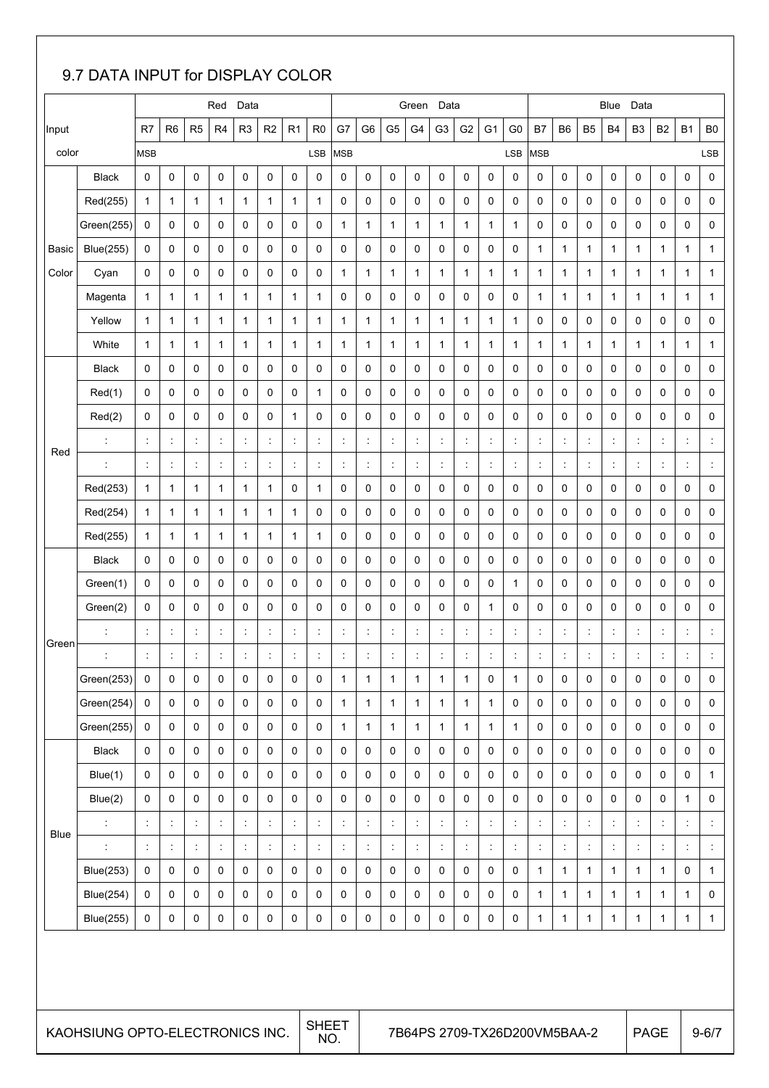## 9.7 DATA INPUT for DISPLAY COLOR

|       |                      |                                            |                      |                      | Red                              | Data           |                          |                      |                      |                             |                                     |                             | Green                     | Data                 |                             |                                     |                      |                                            |                              |                      | Blue                                       | Data                                       |                      |                                  |                              |
|-------|----------------------|--------------------------------------------|----------------------|----------------------|----------------------------------|----------------|--------------------------|----------------------|----------------------|-----------------------------|-------------------------------------|-----------------------------|---------------------------|----------------------|-----------------------------|-------------------------------------|----------------------|--------------------------------------------|------------------------------|----------------------|--------------------------------------------|--------------------------------------------|----------------------|----------------------------------|------------------------------|
| Input |                      | R7                                         | R <sub>6</sub>       | R <sub>5</sub>       | R4                               | R <sub>3</sub> | R <sub>2</sub>           | R <sub>1</sub>       | R <sub>0</sub>       | G7                          | G <sub>6</sub>                      | G <sub>5</sub>              | G4                        | G <sub>3</sub>       | G <sub>2</sub>              | G <sub>1</sub>                      | G <sub>0</sub>       | <b>B7</b>                                  | B <sub>6</sub>               | B <sub>5</sub>       | <b>B4</b>                                  | B <sub>3</sub>                             | B <sub>2</sub>       | B <sub>1</sub>                   | B <sub>0</sub>               |
| color |                      | <b>MSB</b>                                 |                      |                      |                                  |                |                          |                      | <b>LSB</b>           | <b>MSB</b>                  |                                     |                             |                           |                      |                             |                                     | LSB                  | <b>MSB</b>                                 |                              |                      |                                            |                                            |                      |                                  | LSB                          |
|       | <b>Black</b>         | 0                                          | 0                    | 0                    | 0                                | 0              | 0                        | 0                    | $\pmb{0}$            | 0                           | 0                                   | 0                           | $\mathbf 0$               | 0                    | 0                           | 0                                   | 0                    | 0                                          | 0                            | 0                    | 0                                          | 0                                          | 0                    | $\mathbf 0$                      | $\pmb{0}$                    |
|       | Red(255)             | $\mathbf{1}$                               | $\mathbf{1}$         | $\mathbf{1}$         | 1                                | $\mathbf{1}$   | 1                        | $\mathbf{1}$         | 1                    | 0                           | 0                                   | 0                           | 0                         | 0                    | 0                           | 0                                   | 0                    | 0                                          | 0                            | 0                    | 0                                          | 0                                          | 0                    | 0                                | 0                            |
|       | Green(255)           | 0                                          | 0                    | 0                    | 0                                | 0              | 0                        | 0                    | 0                    | 1                           | 1                                   | $\mathbf{1}$                | 1                         | $\mathbf{1}$         | 1                           | 1                                   | 1                    | 0                                          | 0                            | 0                    | 0                                          | 0                                          | 0                    | 0                                | 0                            |
| Basic | <b>Blue(255)</b>     | 0                                          | 0                    | 0                    | 0                                | 0              | 0                        | 0                    | 0                    | 0                           | 0                                   | 0                           | 0                         | 0                    | 0                           | 0                                   | 0                    | 1                                          | $\mathbf{1}$                 | 1                    | 1                                          | $\mathbf{1}$                               | 1                    | 1                                | 1                            |
| Color | Cyan                 | 0                                          | 0                    | 0                    | 0                                | 0              | 0                        | 0                    | 0                    | 1                           | 1                                   | 1                           | $\mathbf{1}$              | 1                    | 1                           | 1                                   | 1                    | 1                                          | 1                            | 1                    | 1                                          | 1                                          | 1                    | 1                                | 1                            |
|       | Magenta              | $\mathbf{1}$                               | 1                    | $\mathbf{1}$         | 1                                | 1              | 1                        | $\mathbf{1}$         | 1                    | $\mathbf 0$                 | 0                                   | 0                           | 0                         | 0                    | 0                           | $\mathbf 0$                         | 0                    | 1                                          | $\mathbf{1}$                 | 1                    | 1                                          | $\mathbf 1$                                | 1                    | $\mathbf{1}$                     | 1                            |
|       | Yellow               | 1                                          | 1                    | $\mathbf{1}$         | 1                                | 1              | 1                        | 1                    | 1                    | $\mathbf{1}$                | 1                                   | 1                           | 1                         | 1                    | 1                           | 1                                   | 1                    | 0                                          | 0                            | 0                    | 0                                          | 0                                          | 0                    | 0                                | 0                            |
|       | White                | $\mathbf{1}$                               | $\mathbf{1}$         | $\mathbf{1}$         | 1                                | 1              | 1                        | 1                    | $\mathbf{1}$         | $\mathbf{1}$                | $\mathbf 1$                         | 1                           | $\mathbf{1}$              | 1                    | 1                           | $\mathbf{1}$                        | 1                    | 1                                          | $\mathbf{1}$                 | 1                    | 1                                          | $\mathbf{1}$                               | 1                    | 1                                | 1                            |
|       | <b>Black</b>         | 0                                          | 0                    | 0                    | 0                                | 0              | 0                        | 0                    | 0                    | 0                           | 0                                   | 0                           | 0                         | 0                    | 0                           | 0                                   | 0                    | 0                                          | 0                            | 0                    | 0                                          | 0                                          | 0                    | 0                                | 0                            |
|       | Red(1)               | 0                                          | 0                    | 0                    | 0                                | 0              | 0                        | 0                    | 1                    | 0                           | 0                                   | 0                           | 0                         | 0                    | 0                           | 0                                   | 0                    | 0                                          | 0                            | 0                    | 0                                          | 0                                          | 0                    | 0                                | 0                            |
|       | Red(2)               | 0                                          | 0                    | 0                    | 0                                | 0              | 0                        | 1                    | 0                    | 0                           | 0                                   | 0                           | 0                         | 0                    | 0                           | 0                                   | 0                    | 0                                          | 0                            | 0                    | 0                                          | 0                                          | 0                    | 0                                | 0                            |
| Red   | ÷                    | $\ddot{\phantom{a}}$                       | $\ddot{\phantom{a}}$ | ÷                    | ÷                                | $\ddot{\cdot}$ | ÷                        | t                    | ċ                    | ÷                           | $\ddot{\phantom{a}}$                | $\ddot{\phantom{a}}$        | ÷                         | $\ddot{\phantom{a}}$ | $\ddot{\phantom{a}}$        | t                                   | $\ddot{\phantom{a}}$ | $\ddot{\phantom{a}}$                       | $\ddot{\phantom{a}}$         | ċ                    | $\ddot{\cdot}$                             | t                                          | t                    | $\ddot{\phantom{a}}$             | $\ddot{\cdot}$               |
|       | $\cdot$              | $\ddot{\phantom{a}}$                       | $\ddot{\cdot}$       | ÷                    | t                                | $\ddot{\cdot}$ | $\ddot{\phantom{a}}$     | t                    | ċ                    | t                           | $\ddot{\phantom{a}}$                | $\ddot{\phantom{a}}$        | ÷                         | $\ddot{\phantom{a}}$ | ÷                           | ÷                                   | t                    | $\ddot{\phantom{a}}$                       | $\ddot{\phantom{a}}$         | $\ddot{\phantom{a}}$ | $\ddot{\cdot}$                             | $\ddot{\phantom{a}}$                       | $\ddot{\cdot}$       | $\ddot{\phantom{a}}$             | $\ddot{\cdot}$               |
|       | Red(253)             | $\mathbf{1}$                               | $\mathbf{1}$         | $\mathbf{1}$         | 1                                | 1              | $\mathbf{1}$             | 0                    | $\mathbf{1}$         | 0                           | 0                                   | 0                           | 0                         | 0                    | 0                           | 0                                   | 0                    | 0                                          | 0                            | 0                    | 0                                          | 0                                          | 0                    | 0                                | 0                            |
|       | Red(254)             | 1                                          | $\mathbf{1}$         | $\mathbf{1}$         | 1                                | $\mathbf{1}$   | $\mathbf{1}$             | $\mathbf{1}$         | 0                    | $\mathbf 0$                 | 0                                   | 0                           | 0                         | 0                    | 0                           | $\mathbf 0$                         | 0                    | 0                                          | 0                            | 0                    | 0                                          | 0                                          | 0                    | 0                                | 0                            |
|       | Red(255)             | 1                                          | 1                    | $\mathbf{1}$         | 1                                | 1              | $\mathbf{1}$             | 1                    | 1                    | 0                           | 0                                   | 0                           | 0                         | 0                    | 0                           | 0                                   | 0                    | 0                                          | 0                            | 0                    | 0                                          | 0                                          | 0                    | 0                                | 0                            |
|       | <b>Black</b>         | 0                                          | 0                    | 0                    | 0                                | 0              | 0                        | 0                    | 0                    | 0                           | 0                                   | 0                           | 0                         | 0                    | 0                           | $\mathbf 0$                         | 0                    | 0                                          | 0                            | 0                    | 0                                          | 0                                          | 0                    | 0                                | 0                            |
|       | Green(1)             | 0                                          | 0                    | 0                    | 0                                | 0              | 0                        | 0                    | 0                    | 0                           | 0                                   | 0                           | 0                         | 0                    | 0                           | 0                                   | 1                    | 0                                          | 0                            | 0                    | 0                                          | 0                                          | 0                    | 0                                | 0                            |
|       | Green(2)             | 0                                          | 0                    | 0                    | 0                                | 0              | 0                        | 0                    | 0                    | $\mathbf 0$                 | 0                                   | 0                           | 0                         | 0                    | 0                           | 1                                   | 0                    | 0                                          | 0                            | 0                    | 0                                          | 0                                          | 0                    | 0                                | 0                            |
| Green |                      | $\ddot{\phantom{a}}$                       | $\ddot{\cdot}$       | $\ddot{\phantom{a}}$ | $\ddot{\cdot}$                   | $\ddot{\cdot}$ | $\ddot{.}$               | $\ddot{\phantom{a}}$ | $\ddot{\cdot}$       | $\ddot{\phantom{a}}$        | $\ddot{\cdot}$                      | ÷                           | t,                        | $\ddot{\cdot}$       | $\ddot{\cdot}$              | ÷                                   | $\ddot{\cdot}$       | $\ddot{\phantom{a}}$                       | $\ddot{\phantom{a}}$         |                      | $\ddot{\phantom{a}}$                       | $\ddot{\phantom{0}}$                       |                      | $\ddot{\cdot}$                   |                              |
|       |                      | $\ddot{\phantom{a}}$                       | $\ddot{\cdot}$       | t                    |                                  | $\ddot{\cdot}$ |                          | Ì                    | $\ddot{\cdot}$       |                             |                                     | ÷                           | $\ddot{\phantom{a}}$      |                      |                             | t                                   |                      | $\ddot{\cdot}$                             |                              |                      | $\ddot{\phantom{a}}$                       |                                            |                      | $\ddot{\phantom{a}}$             |                              |
|       | Green(253)           | 0                                          | 0                    | 0                    | 0                                | 0              | 0                        | 0                    | 0                    | 1                           | 1                                   | $\mathbf{1}$                | 1                         | $\mathbf{1}$         | 1                           | 0                                   | $\mathbf{1}$         | 0                                          | 0                            | 0                    | 0                                          | 0                                          | 0                    | 0                                | 0                            |
|       | Green(254)           | $\mathsf 0$                                | $\mathsf{O}$         | $\pmb{0}$            | $\mathsf{O}\xspace$              | $\pmb{0}$      | $\mathsf{O}$             | $\pmb{0}$            | $\mathsf{O}$         | $\mathbf{1}$                | $\mathbf{1}$                        | $\mathbf{1}$                | $\mathbf{1}$              | $\mathbf{1}$         | $\mathbf{1}$                | $\mathbf{1}$                        | 0                    | $\mathsf{O}\xspace$                        | $\mathsf{O}\xspace$          | 0                    | $\mathsf 0$                                | $\mathsf{O}\xspace$                        | 0                    | $\pmb{0}$                        | $\mathsf{O}$                 |
|       | Green(255)           | $\mathsf{O}\xspace$<br>$\mathsf{O}\xspace$ | $\mathsf{O}\xspace$  | $\mathsf 0$<br>0     | $\mathsf{O}\xspace$<br>$\pmb{0}$ | 0<br>0         | 0<br>$\mathsf{O}\xspace$ | $\pmb{0}$            | 0<br>0               | $\mathbf{1}$<br>$\mathsf 0$ | $\mathbf{1}$<br>$\mathsf{O}\xspace$ | $\mathbf{1}$<br>$\mathsf 0$ | $\mathbf{1}$<br>$\pmb{0}$ | $\mathbf{1}$         | $\mathbf{1}$<br>$\mathsf 0$ | $\mathbf{1}$<br>$\mathsf{O}\xspace$ | $\mathbf{1}$         | $\mathsf{O}\xspace$<br>$\mathsf{O}\xspace$ | $\mathsf{O}$<br>$\mathsf{O}$ | 0<br>0               | $\mathsf{O}\xspace$<br>$\mathsf{O}\xspace$ | $\mathsf{O}\xspace$<br>$\mathsf{O}\xspace$ | 0<br>0               | $\pmb{0}$<br>$\mathsf{O}\xspace$ | $\mathsf{O}$<br>$\mathsf{O}$ |
|       | Black<br>Blue(1)     | $\mathsf 0$                                | 0<br>0               | 0                    | $\mathsf{O}\xspace$              | 0              | $\mathsf{O}\xspace$      | 0<br>$\pmb{0}$       | 0                    | 0                           | $\mathsf{O}\xspace$                 | $\mathsf 0$                 | $\mathsf{O}\xspace$       | 0<br>$\mathbf 0$     | 0                           | $\mathsf{O}\xspace$                 | 0<br>0               | $\mathsf{O}\xspace$                        | $\mathsf{O}$                 | 0                    | $\mathsf{O}\xspace$                        | $\mathsf{O}\xspace$                        | 0                    | $\mathsf{O}\xspace$              | $\mathbf{1}$                 |
|       | Blue(2)              | $\pmb{0}$                                  | 0                    | $\mathbf 0$          | $\mathsf{O}\xspace$              | 0              | $\mathsf 0$              | 0                    | 0                    | $\mathsf 0$                 | 0                                   | 0                           | $\pmb{0}$                 | $\pmb{0}$            | 0                           | $\pmb{0}$                           | 0                    | $\mathsf{O}\xspace$                        | $\pmb{0}$                    | 0                    | 0                                          | $\mathsf{O}\xspace$                        | 0                    | $\mathbf{1}$                     | $\mathsf{O}\xspace$          |
|       | $\vdots$             | $\ddot{\phantom{a}}$                       | $\ddot{\phantom{a}}$ | Ť,                   | ţ,                               | $\ddot{\cdot}$ | $\ddot{\phantom{a}}$     | t,                   | $\ddot{\phantom{a}}$ | İ,                          | $\ddot{\cdot}$                      | $\ddot{\phantom{a}}$        | $\ddot{\cdot}$            | $\ddot{\phantom{a}}$ | $\ddot{\phantom{a}}$        | $\ddot{\phantom{a}}$                | $\ddot{\cdot}$       | $\ddot{\phantom{a}}$                       | $\ddot{\phantom{a}}$         | ÷                    | $\ddot{\phantom{a}}$                       | $\vdots$                                   | $\ddot{\phantom{a}}$ | $\ddot{\cdot}$                   | t,                           |
| Blue  | $\ddot{\phantom{a}}$ | $\ddot{\phantom{a}}$                       | $\ddot{\phantom{a}}$ | t,                   | t                                | $\ddot{.}$     | ÷                        | t,                   | $\ddot{\phantom{a}}$ | ÷                           | İ,                                  | $\ddot{\cdot}$              | $\ddot{\phantom{a}}$      | İ,                   | İ,                          | t,                                  | $\ddot{\phantom{a}}$ | $\ddot{\phantom{a}}$                       | ÷                            | $\ddot{\phantom{a}}$ | $\ddot{\cdot}$                             | ÷                                          | $\ddot{\phantom{a}}$ | $\ddot{\phantom{a}}$             | t,                           |
|       | <b>Blue(253)</b>     | $\mathsf 0$                                | 0                    | 0                    | $\mathsf{O}$                     | $\mathbf 0$    | $\mathbf 0$              | 0                    | 0                    | 0                           | 0                                   | 0                           | $\mathbf 0$               | 0                    | 0                           | $\mathsf{O}$                        | 0                    | $\mathbf{1}$                               | $\mathbf{1}$                 | 1                    | $\mathbf{1}$                               | $\mathbf{1}$                               | $\mathbf{1}$         | $\mathsf{O}$                     | $\mathbf{1}$                 |
|       | <b>Blue(254)</b>     | $\mathsf 0$                                | 0                    | 0                    | $\mathsf{O}\xspace$              | 0              | $\mathsf{O}\xspace$      | 0                    | 0                    | 0                           | 0                                   | 0                           | $\mathsf{O}\xspace$       | 0                    | 0                           | $\mathsf{O}\xspace$                 | 0                    | $\mathbf{1}$                               | $\mathbf{1}$                 | 1                    | $\mathbf{1}$                               | $\mathbf{1}$                               | $\mathbf{1}$         | $\mathbf{1}$                     | $\mathsf{O}\xspace$          |
|       | <b>Blue(255)</b>     | 0                                          | 0                    | 0                    | 0                                | 0              | 0                        | 0                    | 0                    | 0                           | 0                                   | 0                           | 0                         | 0                    | 0                           | $\pmb{0}$                           | 0                    | $\mathbf{1}$                               | $\mathbf{1}$                 | $\mathbf{1}$         | $\mathbf{1}$                               | $\mathbf{1}$                               | $\mathbf{1}$         | $\mathbf{1}$                     | $\mathbf{1}$                 |
|       |                      |                                            |                      |                      |                                  |                |                          |                      |                      |                             |                                     |                             |                           |                      |                             |                                     |                      |                                            |                              |                      |                                            |                                            |                      |                                  |                              |
|       |                      |                                            |                      |                      |                                  |                |                          |                      |                      |                             |                                     |                             |                           |                      |                             |                                     |                      |                                            |                              |                      |                                            |                                            |                      |                                  |                              |

KAOHSIUNG OPTO-ELECTRONICS INC.  $\Big|\begin{array}{c} \text{SHEET} \\ \text{NO.} \end{array}\Big|$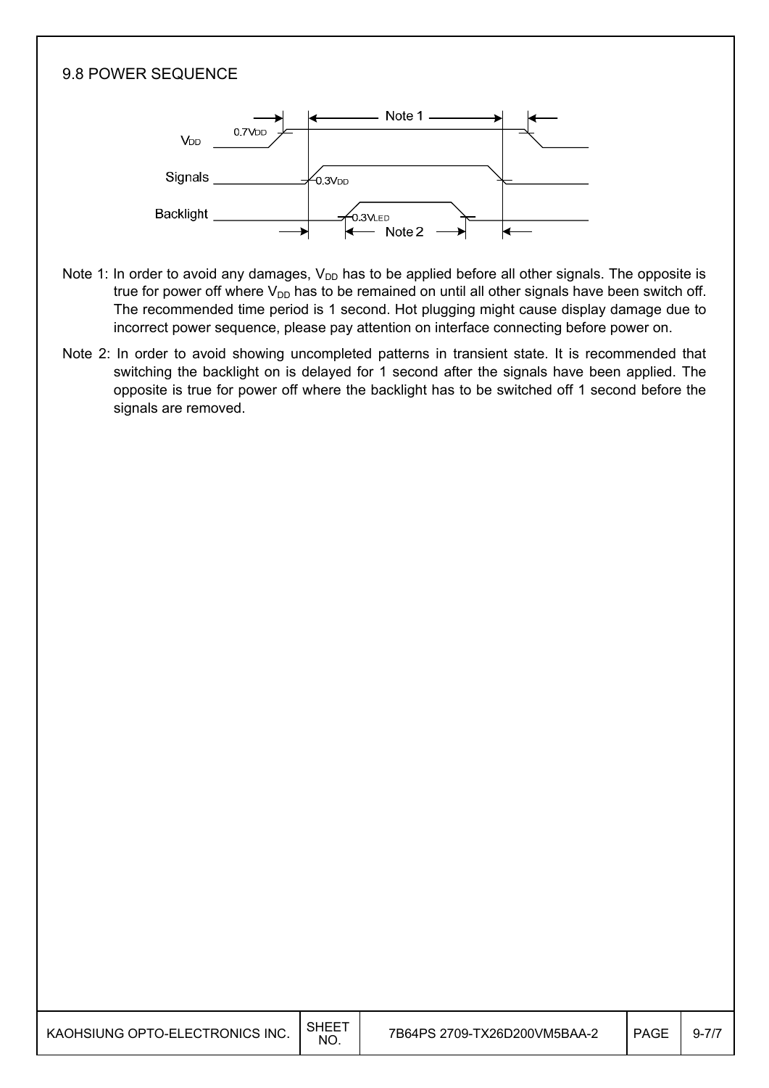#### 9.8 POWER SEQUENCE



- Note 1: In order to avoid any damages,  $V_{DD}$  has to be applied before all other signals. The opposite is true for power off where  $V_{DD}$  has to be remained on until all other signals have been switch off. The recommended time period is 1 second. Hot plugging might cause display damage due to incorrect power sequence, please pay attention on interface connecting before power on.
- Note 2: In order to avoid showing uncompleted patterns in transient state. It is recommended that switching the backlight on is delayed for 1 second after the signals have been applied. The opposite is true for power off where the backlight has to be switched off 1 second before the signals are removed.

I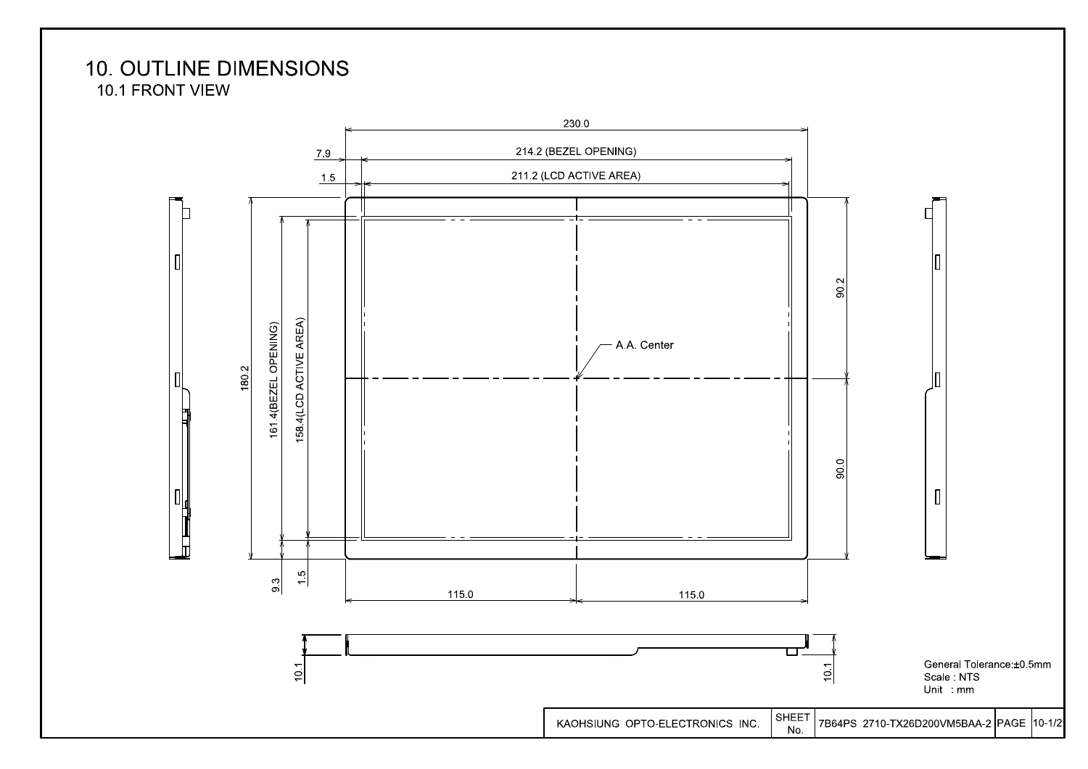# **10. OUTLINE DIMENSIONS**

10.1 FRONT VIEW

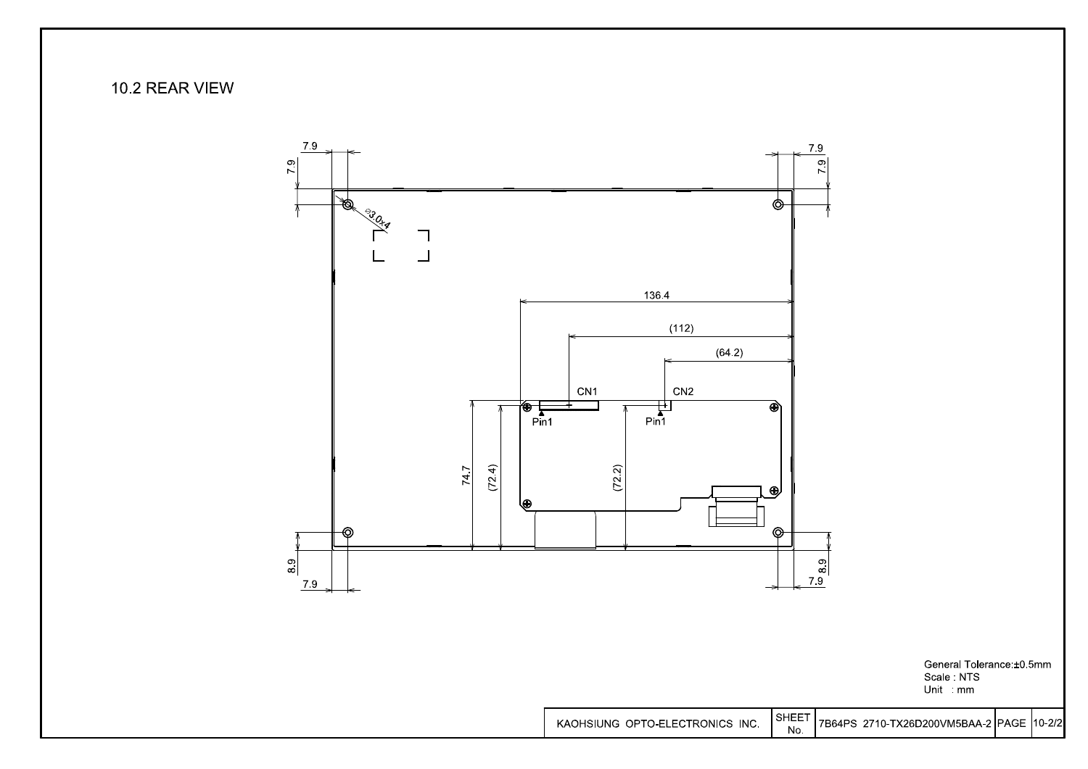### 10.2 REAR VIEW



**SHEET** KAOHSIUNG OPTO-ELECTRONICS INC. 7B64PS 2710-TX26D200VM5BAA-2 PAGE 10-2/2 No.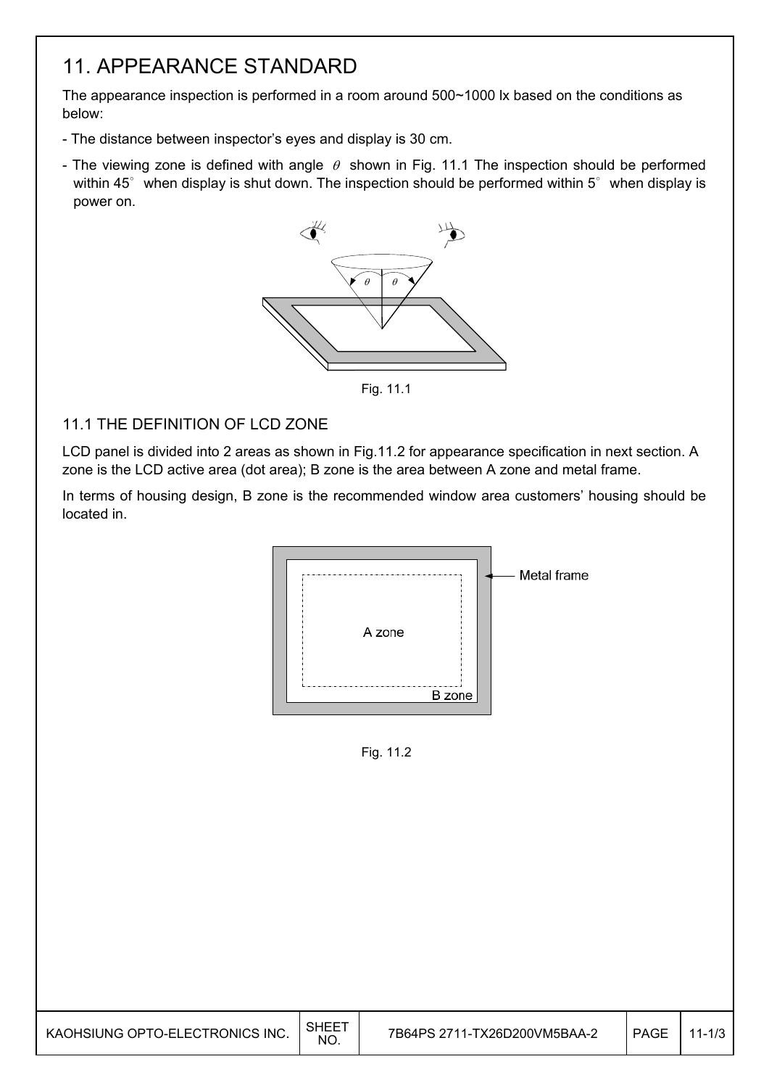## 11. APPEARANCE STANDARD

The appearance inspection is performed in a room around 500~1000 lx based on the conditions as below:

- The distance between inspector's eyes and display is 30 cm.
- The viewing zone is defined with angle  $\theta$  shown in Fig. 11.1 The inspection should be performed within 45 $^{\circ}$  when display is shut down. The inspection should be performed within 5 $^{\circ}$  when display is power on.



Fig. 11.1

#### 11.1 THE DEFINITION OF LCD ZONE

LCD panel is divided into 2 areas as shown in Fig.11.2 for appearance specification in next section. A zone is the LCD active area (dot area); B zone is the area between A zone and metal frame.

In terms of housing design, B zone is the recommended window area customers' housing should be located in.



Fig. 11.2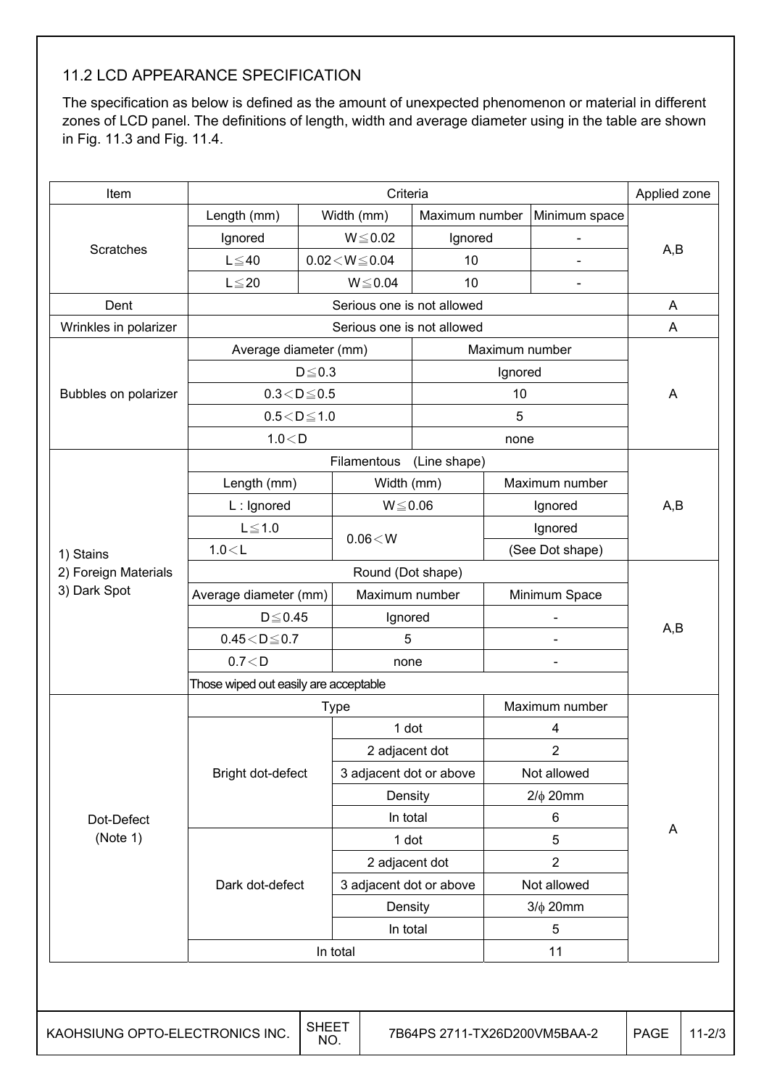### 11.2 LCD APPEARANCE SPECIFICATION

The specification as below is defined as the amount of unexpected phenomenon or material in different zones of LCD panel. The definitions of length, width and average diameter using in the table are shown in Fig. 11.3 and Fig. 11.4.

| Item                            | Criteria                              |                     |                            |                              |                     |                          |             | Applied zone |
|---------------------------------|---------------------------------------|---------------------|----------------------------|------------------------------|---------------------|--------------------------|-------------|--------------|
|                                 | Length (mm)                           |                     | Width (mm)                 | Maximum number               |                     | Minimum space            |             |              |
|                                 | Ignored                               |                     | $W \le 0.02$               |                              | Ignored             |                          |             |              |
| <b>Scratches</b>                | $L \leq 40$                           |                     | $0.02\!<\!W\!\!\leq\!0.04$ | 10                           |                     |                          | A,B         |              |
|                                 | $L \leq 20$                           |                     | $W \le 0.04$               | 10                           |                     |                          |             |              |
| Dent                            |                                       |                     |                            | Serious one is not allowed   |                     |                          | A           |              |
| Wrinkles in polarizer           |                                       |                     |                            | Serious one is not allowed   |                     |                          | A           |              |
|                                 | Average diameter (mm)                 |                     |                            |                              | Maximum number      |                          |             |              |
|                                 |                                       | $D \leq 0.3$        |                            |                              | Ignored             |                          |             |              |
| Bubbles on polarizer            | $0.3\!<\!D\!\leq\!0.5$                |                     |                            |                              | 10                  |                          | A           |              |
|                                 | $0.5\!<\!D\!\leq\!1.0$                |                     |                            |                              | 5                   |                          |             |              |
|                                 | 1.0 < D                               |                     |                            |                              | none                |                          |             |              |
|                                 |                                       |                     | Filamentous                | (Line shape)                 |                     |                          |             |              |
|                                 | Length (mm)                           |                     |                            | Width (mm)                   |                     | Maximum number           |             |              |
|                                 | $L$ : Ignored                         |                     |                            | $W \le 0.06$                 |                     | Ignored                  | A,B         |              |
|                                 | $L \leq 1.0$                          |                     | 0.06 < W                   |                              |                     | Ignored                  |             |              |
| 1) Stains                       | 1.0 < L                               |                     |                            |                              | (See Dot shape)     |                          |             |              |
| 2) Foreign Materials            | Round (Dot shape)                     |                     |                            |                              |                     |                          |             |              |
| 3) Dark Spot                    | Average diameter (mm)                 |                     |                            | Maximum number               |                     | Minimum Space            |             |              |
|                                 | $D \leq 0.45$                         |                     |                            | Ignored                      |                     |                          | A,B         |              |
|                                 | $0.45\!<\!D\!\leq\!0.7$               |                     |                            | 5                            |                     |                          |             |              |
|                                 | 0.7 < D                               |                     |                            | none                         |                     | $\overline{\phantom{0}}$ |             |              |
|                                 | Those wiped out easily are acceptable |                     |                            |                              |                     |                          |             |              |
|                                 | Maximum number<br><b>Type</b>         |                     |                            |                              |                     |                          |             |              |
|                                 |                                       |                     |                            | 1 dot                        |                     | 4                        |             |              |
|                                 |                                       |                     |                            | 2 adjacent dot               |                     | 2                        |             |              |
|                                 | Bright dot-defect                     |                     |                            | 3 adjacent dot or above      |                     | Not allowed              |             |              |
|                                 |                                       |                     |                            | Density                      |                     | $2/\phi$ 20mm            |             |              |
| Dot-Defect                      |                                       |                     |                            | In total                     |                     | 6                        | A           |              |
| (Note 1)                        |                                       |                     |                            | 1 dot                        | 5<br>$\overline{2}$ |                          |             |              |
|                                 |                                       |                     |                            | 2 adjacent dot               |                     |                          |             |              |
|                                 | Dark dot-defect                       |                     |                            | 3 adjacent dot or above      |                     | Not allowed              |             |              |
|                                 |                                       |                     |                            | Density                      | $3/\phi$ 20mm       |                          |             |              |
|                                 |                                       |                     | In total                   |                              | 5                   |                          |             |              |
|                                 |                                       |                     | In total                   |                              |                     | 11                       |             |              |
|                                 |                                       |                     |                            |                              |                     |                          |             |              |
| KAOHSIUNG OPTO-ELECTRONICS INC. |                                       | <b>SHEET</b><br>NO. |                            | 7B64PS 2711-TX26D200VM5BAA-2 |                     |                          | <b>PAGE</b> | $11 - 2/3$   |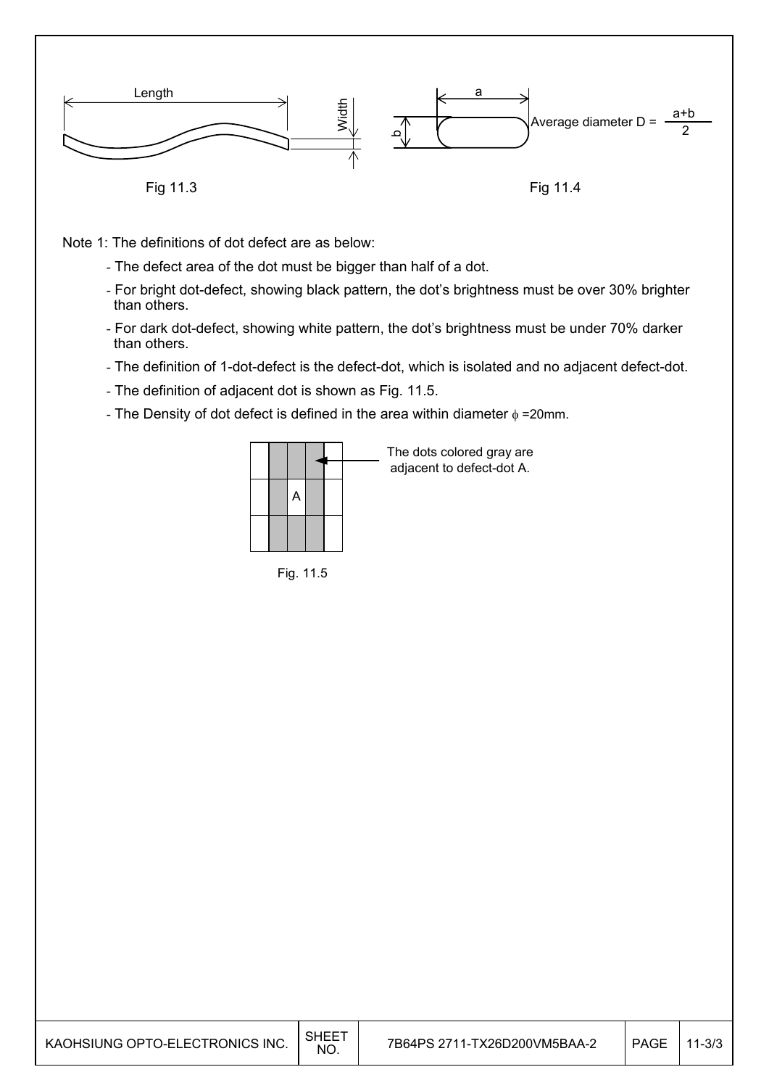

Note 1: The definitions of dot defect are as below:

- The defect area of the dot must be bigger than half of a dot.
- For bright dot-defect, showing black pattern, the dot's brightness must be over 30% brighter than others.
- For dark dot-defect, showing white pattern, the dot's brightness must be under 70% darker than others.
- The definition of 1-dot-defect is the defect-dot, which is isolated and no adjacent defect-dot.
- The definition of adjacent dot is shown as Fig. 11.5.
- The Density of dot defect is defined in the area within diameter  $\phi$  =20mm.



Fig. 11.5

| KAOHSIUNG OPTO-ELECTRONICS INC. | . SHEE <sup>7</sup><br>N <sub>O</sub> | 7B64PS 2711-TX26D200VM5BAA-2 | <b>PAGE</b> | $11 - 3/3$ |
|---------------------------------|---------------------------------------|------------------------------|-------------|------------|
|---------------------------------|---------------------------------------|------------------------------|-------------|------------|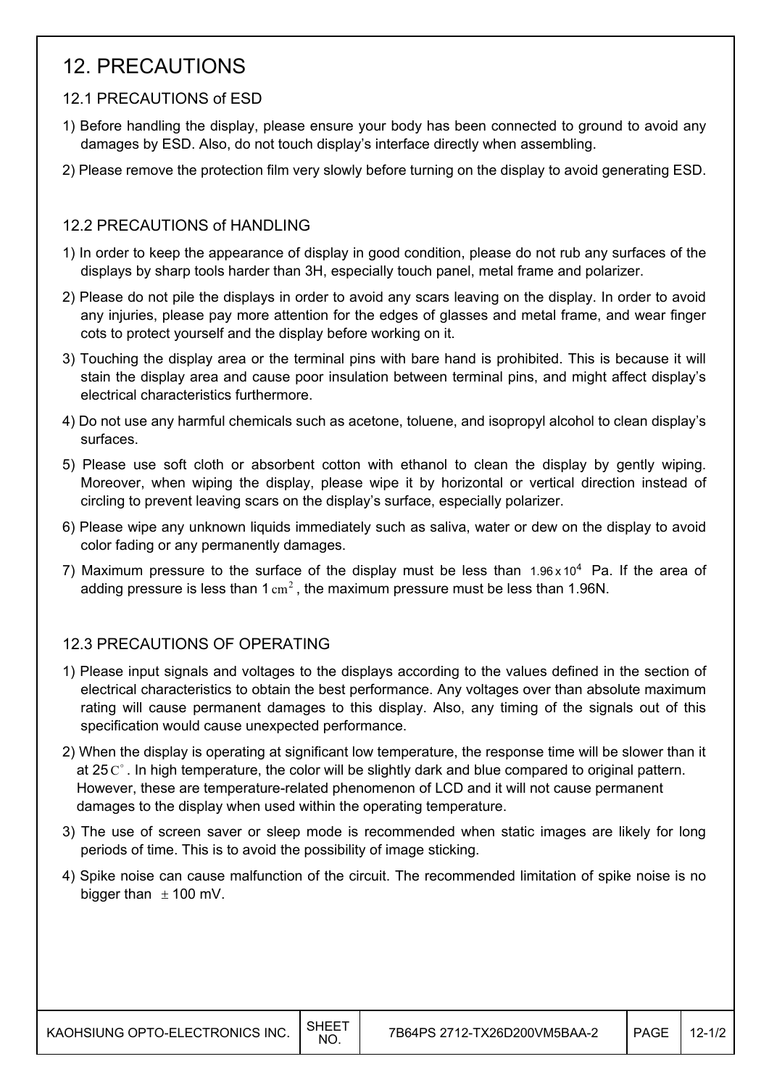## 12. PRECAUTIONS

#### 12.1 PRECAUTIONS of ESD

- 1) Before handling the display, please ensure your body has been connected to ground to avoid any damages by ESD. Also, do not touch display's interface directly when assembling.
- 2) Please remove the protection film very slowly before turning on the display to avoid generating ESD.

#### 12.2 PRECAUTIONS of HANDLING

- 1) In order to keep the appearance of display in good condition, please do not rub any surfaces of the displays by sharp tools harder than 3H, especially touch panel, metal frame and polarizer.
- 2) Please do not pile the displays in order to avoid any scars leaving on the display. In order to avoid any injuries, please pay more attention for the edges of glasses and metal frame, and wear finger cots to protect yourself and the display before working on it.
- 3) Touching the display area or the terminal pins with bare hand is prohibited. This is because it will stain the display area and cause poor insulation between terminal pins, and might affect display's electrical characteristics furthermore.
- 4) Do not use any harmful chemicals such as acetone, toluene, and isopropyl alcohol to clean display's surfaces.
- 5) Please use soft cloth or absorbent cotton with ethanol to clean the display by gently wiping. Moreover, when wiping the display, please wipe it by horizontal or vertical direction instead of circling to prevent leaving scars on the display's surface, especially polarizer.
- 6) Please wipe any unknown liquids immediately such as saliva, water or dew on the display to avoid color fading or any permanently damages.
- 7) Maximum pressure to the surface of the display must be less than  $1.96 \times 10^4$  Pa. If the area of adding pressure is less than  $1 \text{ cm}^2$ , the maximum pressure must be less than 1.96N.

### 12.3 PRECAUTIONS OF OPERATING

- 1) Please input signals and voltages to the displays according to the values defined in the section of electrical characteristics to obtain the best performance. Any voltages over than absolute maximum rating will cause permanent damages to this display. Also, any timing of the signals out of this specification would cause unexpected performance.
- 2) When the display is operating at significant low temperature, the response time will be slower than it at 25 $C^{\circ}$ . In high temperature, the color will be slightly dark and blue compared to original pattern. However, these are temperature-related phenomenon of LCD and it will not cause permanent damages to the display when used within the operating temperature.
- 3) The use of screen saver or sleep mode is recommended when static images are likely for long periods of time. This is to avoid the possibility of image sticking.
- 4) Spike noise can cause malfunction of the circuit. The recommended limitation of spike noise is no bigger than  $\pm$  100 mV.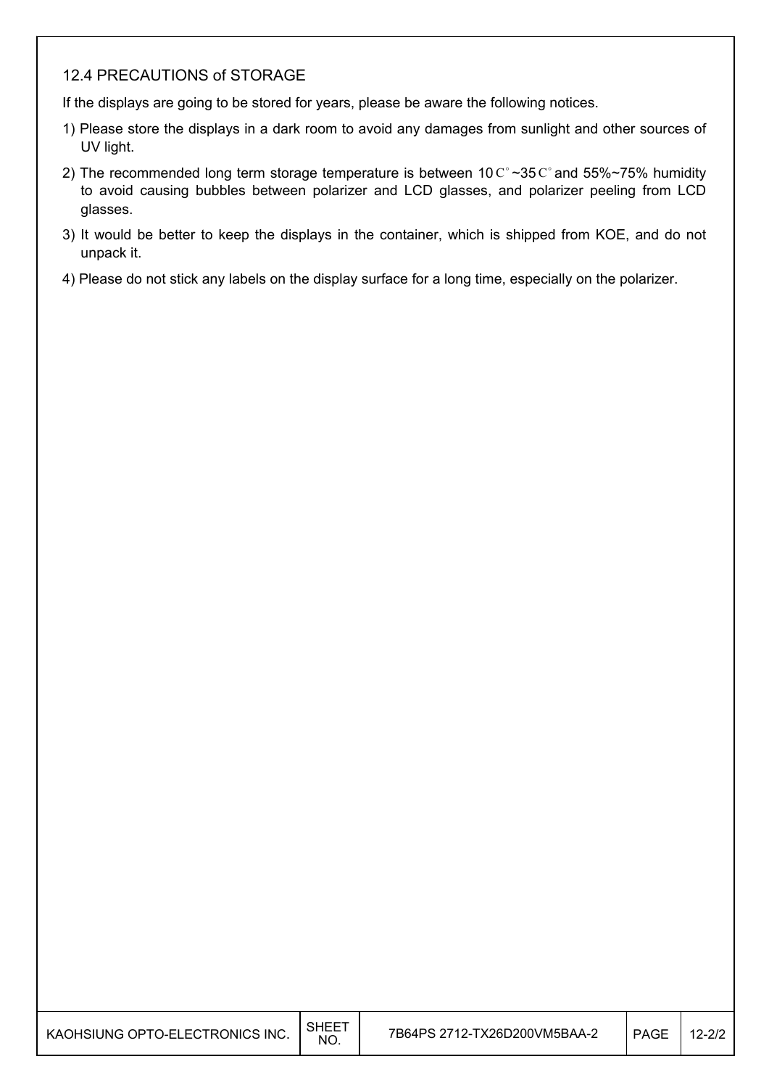#### 12.4 PRECAUTIONS of STORAGE

If the displays are going to be stored for years, please be aware the following notices.

- 1) Please store the displays in a dark room to avoid any damages from sunlight and other sources of UV light.
- 2) The recommended long term storage temperature is between 10  $\text{C}^{\circ}$  ~35  $\text{C}^{\circ}$  and 55%~75% humidity to avoid causing bubbles between polarizer and LCD glasses, and polarizer peeling from LCD glasses.
- 3) It would be better to keep the displays in the container, which is shipped from KOE, and do not unpack it.
- 4) Please do not stick any labels on the display surface for a long time, especially on the polarizer.